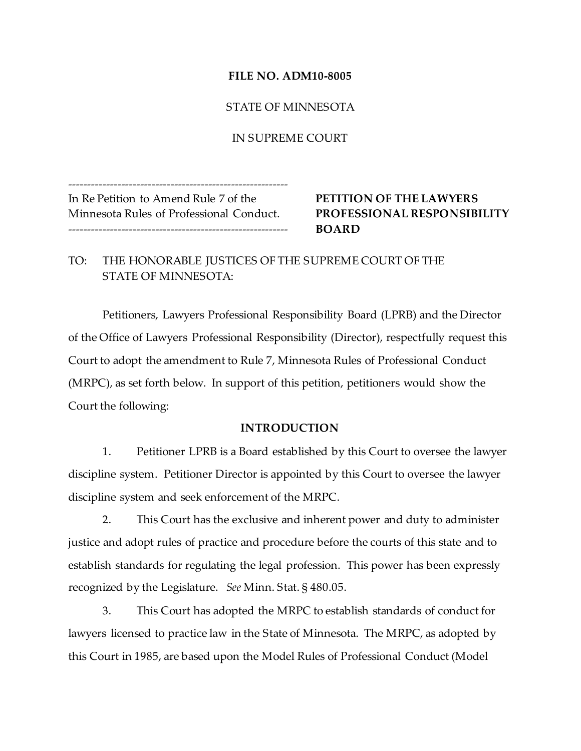#### FILE NO. ADM10-8005

## STATE OF MINNESOTA

### IN SUPREME COURT

---------------------------------------------------------- In Re Petition to Amend Rule 7 of the **PETITION OF THE LAWYERS** Minnesota Rules of Professional Conduct. PROFESSIONAL RESPONSIBILITY ---------------------------------------------------------- BOARD

# TO: THE HONORABLE JUSTICES OF THE SUPREME COURT OF THE STATE OF MINNESOTA:

Petitioners, Lawyers Professional Responsibility Board (LPRB) and the Director of the Office of Lawyers Professional Responsibility (Director), respectfully request this Court to adopt the amendment to Rule 7, Minnesota Rules of Professional Conduct (MRPC), as set forth below. In support of this petition, petitioners would show the Court the following:

#### INTRODUCTION

1. Petitioner LPRB is a Board established by this Court to oversee the lawyer discipline system. Petitioner Director is appointed by this Court to oversee the lawyer discipline system and seek enforcement of the MRPC.

2. This Court has the exclusive and inherent power and duty to administer justice and adopt rules of practice and procedure before the courts of this state and to establish standards for regulating the legal profession. This power has been expressly recognized by the Legislature. See Minn. Stat. § 480.05.

3. This Court has adopted the MRPC to establish standards of conduct for lawyers licensed to practice law in the State of Minnesota. The MRPC, as adopted by this Court in 1985, are based upon the Model Rules of Professional Conduct (Model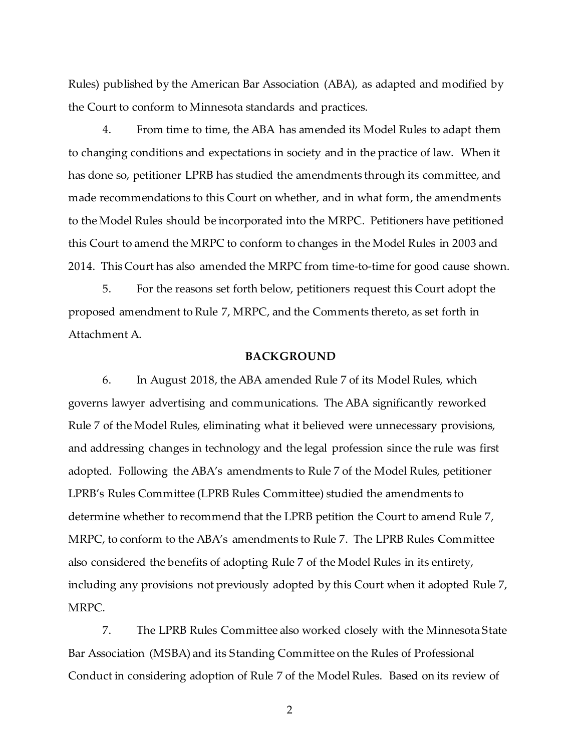Rules) published by the American Bar Association (ABA), as adapted and modified by the Court to conform to Minnesota standards and practices.

4. From time to time, the ABA has amended its Model Rules to adapt them to changing conditions and expectations in society and in the practice of law. When it has done so, petitioner LPRB has studied the amendments through its committee, and made recommendations to this Court on whether, and in what form, the amendments to the Model Rules should be incorporated into the MRPC. Petitioners have petitioned this Court to amend the MRPC to conform to changes in the Model Rules in 2003 and 2014. This Court has also amended the MRPC from time-to-time for good cause shown.

5. For the reasons set forth below, petitioners request this Court adopt the proposed amendment to Rule 7, MRPC, and the Comments thereto, as set forth in Attachment A.

#### BACKGROUND

6. In August 2018, the ABA amended Rule 7 of its Model Rules, which governs lawyer advertising and communications. The ABA significantly reworked Rule 7 of the Model Rules, eliminating what it believed were unnecessary provisions, and addressing changes in technology and the legal profession since the rule was first adopted. Following the ABA's amendments to Rule 7 of the Model Rules, petitioner LPRB's Rules Committee (LPRB Rules Committee) studied the amendments to determine whether to recommend that the LPRB petition the Court to amend Rule 7, MRPC, to conform to the ABA's amendments to Rule 7. The LPRB Rules Committee also considered the benefits of adopting Rule 7 of the Model Rules in its entirety, including any provisions not previously adopted by this Court when it adopted Rule 7, MRPC.

7. The LPRB Rules Committee also worked closely with the Minnesota State Bar Association (MSBA) and its Standing Committee on the Rules of Professional Conduct in considering adoption of Rule 7 of the Model Rules. Based on its review of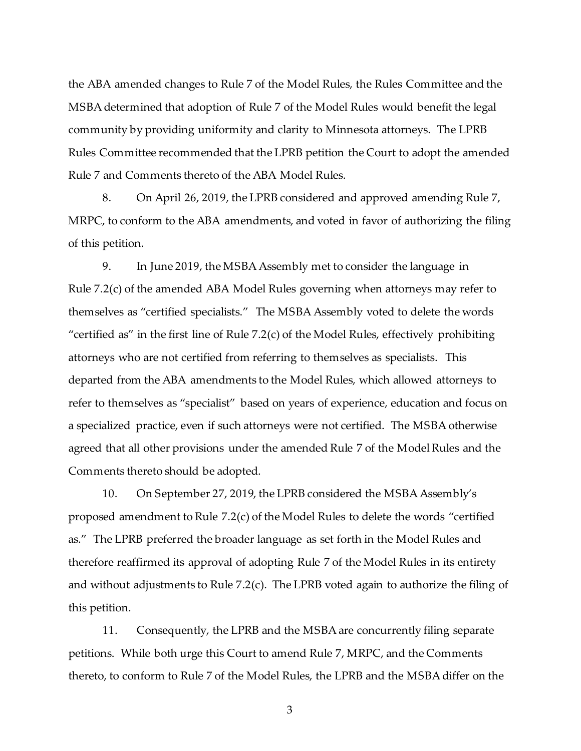the ABA amended changes to Rule 7 of the Model Rules, the Rules Committee and the MSBA determined that adoption of Rule 7 of the Model Rules would benefit the legal community by providing uniformity and clarity to Minnesota attorneys. The LPRB Rules Committee recommended that the LPRB petition the Court to adopt the amended Rule 7 and Comments thereto of the ABA Model Rules.

8. On April 26, 2019, the LPRB considered and approved amending Rule 7, MRPC, to conform to the ABA amendments, and voted in favor of authorizing the filing of this petition.

9. In June 2019, the MSBA Assembly met to consider the language in Rule 7.2(c) of the amended ABA Model Rules governing when attorneys may refer to themselves as "certified specialists." The MSBA Assembly voted to delete the words "certified as" in the first line of Rule 7.2(c) of the Model Rules, effectively prohibiting attorneys who are not certified from referring to themselves as specialists. This departed from the ABA amendments to the Model Rules, which allowed attorneys to refer to themselves as "specialist" based on years of experience, education and focus on a specialized practice, even if such attorneys were not certified. The MSBA otherwise agreed that all other provisions under the amended Rule 7 of the Model Rules and the Comments thereto should be adopted.

10. On September 27, 2019, the LPRB considered the MSBA Assembly's proposed amendment to Rule 7.2(c) of the Model Rules to delete the words "certified as." The LPRB preferred the broader language as set forth in the Model Rules and therefore reaffirmed its approval of adopting Rule 7 of the Model Rules in its entirety and without adjustments to Rule 7.2(c). The LPRB voted again to authorize the filing of this petition.

11. Consequently, the LPRB and the MSBA are concurrently filing separate petitions. While both urge this Court to amend Rule 7, MRPC, and the Comments thereto, to conform to Rule 7 of the Model Rules, the LPRB and the MSBA differ on the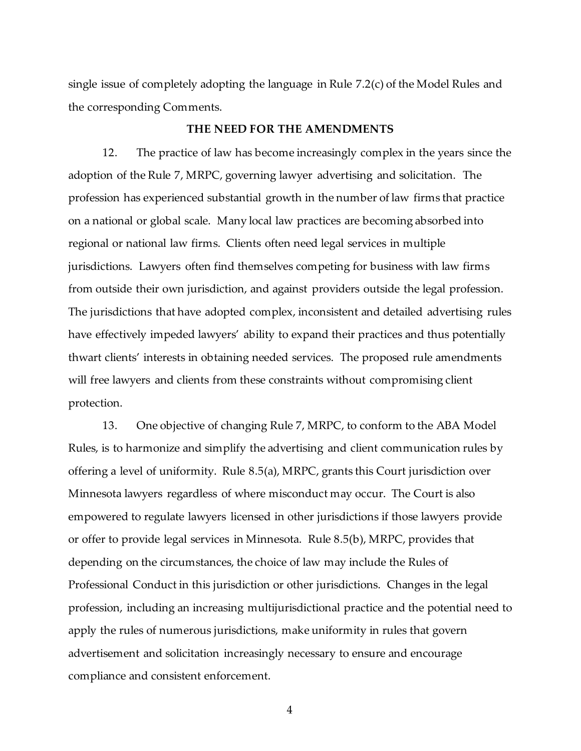single issue of completely adopting the language in Rule 7.2(c) of the Model Rules and the corresponding Comments.

#### THE NEED FOR THE AMENDMENTS

12. The practice of law has become increasingly complex in the years since the adoption of the Rule 7, MRPC, governing lawyer advertising and solicitation. The profession has experienced substantial growth in the number of law firms that practice on a national or global scale. Many local law practices are becoming absorbed into regional or national law firms. Clients often need legal services in multiple jurisdictions. Lawyers often find themselves competing for business with law firms from outside their own jurisdiction, and against providers outside the legal profession. The jurisdictions that have adopted complex, inconsistent and detailed advertising rules have effectively impeded lawyers' ability to expand their practices and thus potentially thwart clients' interests in obtaining needed services. The proposed rule amendments will free lawyers and clients from these constraints without compromising client protection.

13. One objective of changing Rule 7, MRPC, to conform to the ABA Model Rules, is to harmonize and simplify the advertising and client communication rules by offering a level of uniformity. Rule 8.5(a), MRPC, grants this Court jurisdiction over Minnesota lawyers regardless of where misconduct may occur. The Court is also empowered to regulate lawyers licensed in other jurisdictions if those lawyers provide or offer to provide legal services in Minnesota. Rule 8.5(b), MRPC, provides that depending on the circumstances, the choice of law may include the Rules of Professional Conduct in this jurisdiction or other jurisdictions. Changes in the legal profession, including an increasing multijurisdictional practice and the potential need to apply the rules of numerous jurisdictions, make uniformity in rules that govern advertisement and solicitation increasingly necessary to ensure and encourage compliance and consistent enforcement.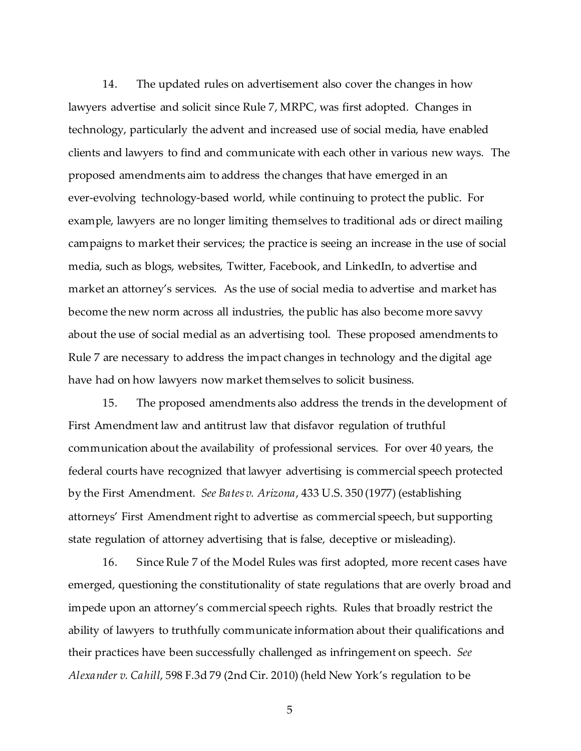14. The updated rules on advertisement also cover the changes in how lawyers advertise and solicit since Rule 7, MRPC, was first adopted. Changes in technology, particularly the advent and increased use of social media, have enabled clients and lawyers to find and communicate with each other in various new ways. The proposed amendments aim to address the changes that have emerged in an ever-evolving technology-based world, while continuing to protect the public. For example, lawyers are no longer limiting themselves to traditional ads or direct mailing campaigns to market their services; the practice is seeing an increase in the use of social media, such as blogs, websites, Twitter, Facebook, and LinkedIn, to advertise and market an attorney's services. As the use of social media to advertise and market has become the new norm across all industries, the public has also become more savvy about the use of social medial as an advertising tool. These proposed amendments to Rule 7 are necessary to address the impact changes in technology and the digital age have had on how lawyers now market themselves to solicit business.

15. The proposed amendments also address the trends in the development of First Amendment law and antitrust law that disfavor regulation of truthful communication about the availability of professional services. For over 40 years, the federal courts have recognized that lawyer advertising is commercial speech protected by the First Amendment. See Bates v. Arizona, 433 U.S. 350 (1977) (establishing attorneys' First Amendment right to advertise as commercial speech, but supporting state regulation of attorney advertising that is false, deceptive or misleading).

16. Since Rule 7 of the Model Rules was first adopted, more recent cases have emerged, questioning the constitutionality of state regulations that are overly broad and impede upon an attorney's commercial speech rights. Rules that broadly restrict the ability of lawyers to truthfully communicate information about their qualifications and their practices have been successfully challenged as infringement on speech. See Alexander v. Cahill, 598 F.3d 79 (2nd Cir. 2010) (held New York's regulation to be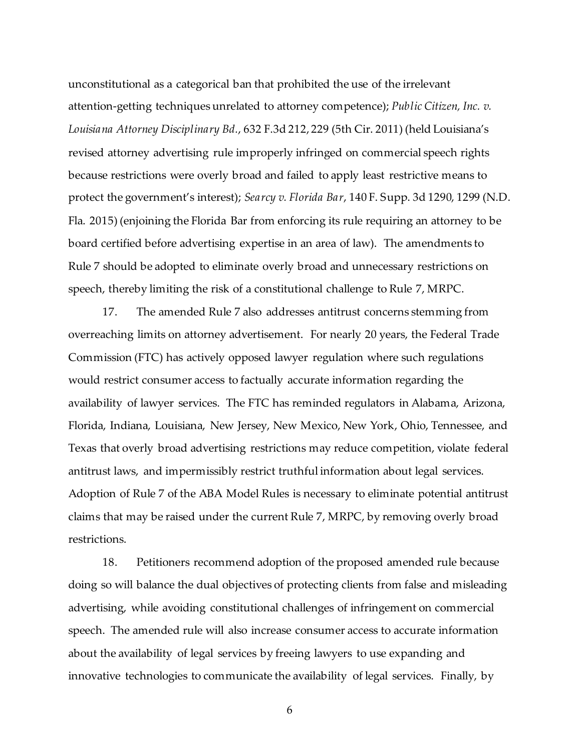unconstitutional as a categorical ban that prohibited the use of the irrelevant attention-getting techniques unrelated to attorney competence); Public Citizen, Inc. v. Louisiana Attorney Disciplinary Bd., 632 F.3d 212, 229 (5th Cir. 2011) (held Louisiana's revised attorney advertising rule improperly infringed on commercial speech rights because restrictions were overly broad and failed to apply least restrictive means to protect the government's interest); Searcy v. Florida Bar, 140 F. Supp. 3d 1290, 1299 (N.D. Fla. 2015) (enjoining the Florida Bar from enforcing its rule requiring an attorney to be board certified before advertising expertise in an area of law). The amendments to Rule 7 should be adopted to eliminate overly broad and unnecessary restrictions on speech, thereby limiting the risk of a constitutional challenge to Rule 7, MRPC.

17. The amended Rule 7 also addresses antitrust concerns stemming from overreaching limits on attorney advertisement. For nearly 20 years, the Federal Trade Commission (FTC) has actively opposed lawyer regulation where such regulations would restrict consumer access to factually accurate information regarding the availability of lawyer services. The FTC has reminded regulators in Alabama, Arizona, Florida, Indiana, Louisiana, New Jersey, New Mexico, New York, Ohio, Tennessee, and Texas that overly broad advertising restrictions may reduce competition, violate federal antitrust laws, and impermissibly restrict truthful information about legal services. Adoption of Rule 7 of the ABA Model Rules is necessary to eliminate potential antitrust claims that may be raised under the current Rule 7, MRPC, by removing overly broad restrictions.

18. Petitioners recommend adoption of the proposed amended rule because doing so will balance the dual objectives of protecting clients from false and misleading advertising, while avoiding constitutional challenges of infringement on commercial speech. The amended rule will also increase consumer access to accurate information about the availability of legal services by freeing lawyers to use expanding and innovative technologies to communicate the availability of legal services. Finally, by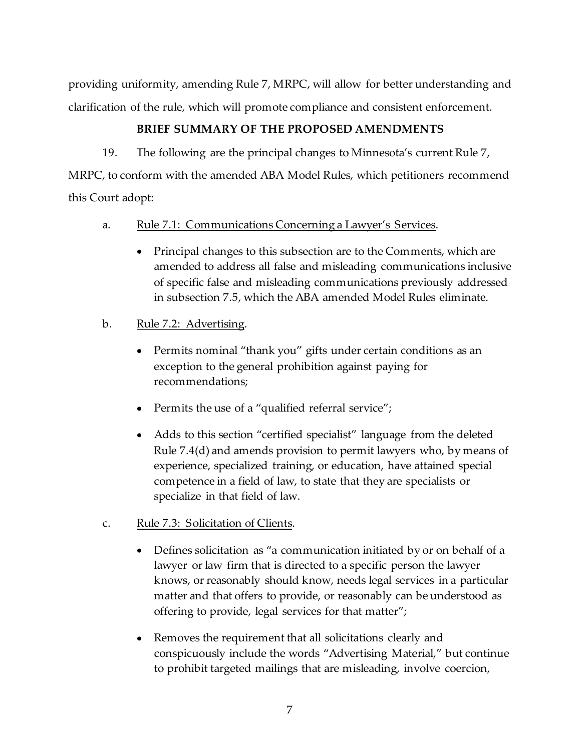providing uniformity, amending Rule 7, MRPC, will allow for better understanding and clarification of the rule, which will promote compliance and consistent enforcement.

## BRIEF SUMMARY OF THE PROPOSED AMENDMENTS

19. The following are the principal changes to Minnesota's current Rule 7, MRPC, to conform with the amended ABA Model Rules, which petitioners recommend this Court adopt:

- a. Rule 7.1: Communications Concerning a Lawyer's Services.
	- Principal changes to this subsection are to the Comments, which are amended to address all false and misleading communications inclusive of specific false and misleading communications previously addressed in subsection 7.5, which the ABA amended Model Rules eliminate.
- b. Rule 7.2: Advertising.
	- Permits nominal "thank you" gifts under certain conditions as an exception to the general prohibition against paying for recommendations;
	- Permits the use of a "qualified referral service";
	- Adds to this section "certified specialist" language from the deleted Rule 7.4(d) and amends provision to permit lawyers who, by means of experience, specialized training, or education, have attained special competence in a field of law, to state that they are specialists or specialize in that field of law.
- c. Rule 7.3: Solicitation of Clients.
	- Defines solicitation as "a communication initiated by or on behalf of a lawyer or law firm that is directed to a specific person the lawyer knows, or reasonably should know, needs legal services in a particular matter and that offers to provide, or reasonably can be understood as offering to provide, legal services for that matter";
	- Removes the requirement that all solicitations clearly and conspicuously include the words "Advertising Material," but continue to prohibit targeted mailings that are misleading, involve coercion,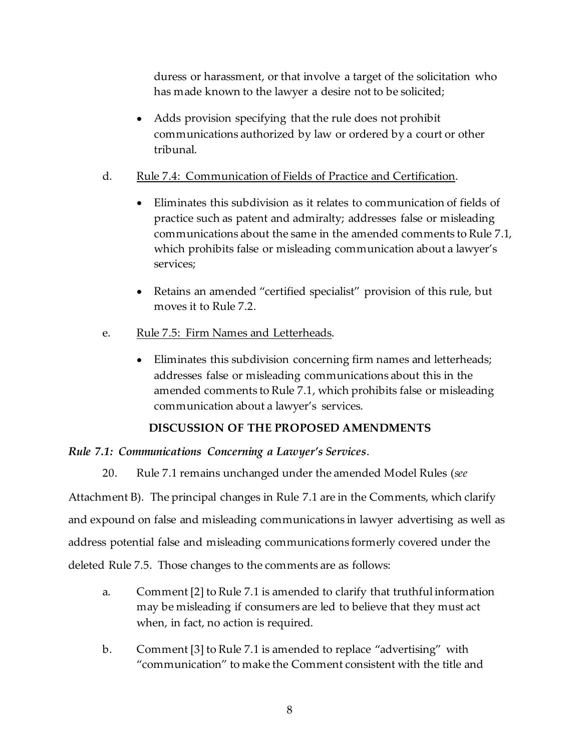duress or harassment, or that involve a target of the solicitation who has made known to the lawyer a desire not to be solicited;

Adds provision specifying that the rule does not prohibit communications authorized by law or ordered by a court or other tribunal.

#### d. Rule 7.4: Communication of Fields of Practice and Certification.

- Eliminates this subdivision as it relates to communication of fields of practice such as patent and admiralty; addresses false or misleading communications about the same in the amended comments to Rule 7.1, which prohibits false or misleading communication about a lawyer's services;
- Retains an amended "certified specialist" provision of this rule, but moves it to Rule 7.2.
- e. Rule 7.5: Firm Names and Letterheads.
	- $\bullet$ Eliminates this subdivision concerning firm names and letterheads; addresses false or misleading communications about this in the amended comments to Rule 7.1, which prohibits false or misleading communication about a lawyer's services.

## DISCUSSION OF THE PROPOSED AMENDMENTS

#### Rule 7.1: Communications Concerning a Lawyer's Services.

20. Rule 7.1 remains unchanged under the amended Model Rules (see Attachment B). The principal changes in Rule 7.1 are in the Comments, which clarify and expound on false and misleading communications in lawyer advertising as well as address potential false and misleading communications formerly covered under the deleted Rule 7.5. Those changes to the comments are as follows:

- a. Comment [2] to Rule 7.1 is amended to clarify that truthful information may be misleading if consumers are led to believe that they must act when, in fact, no action is required.
- b. Comment [3] to Rule 7.1 is amended to replace "advertising" with "communication" to make the Comment consistent with the title and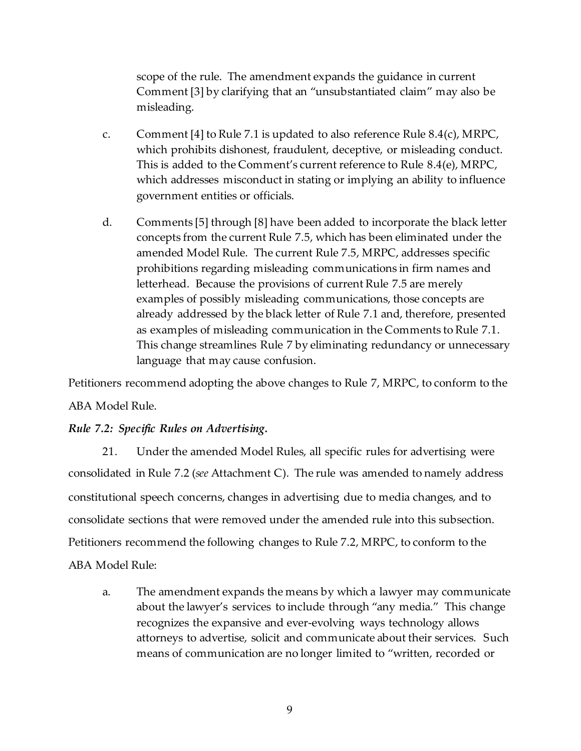scope of the rule. The amendment expands the guidance in current Comment [3] by clarifying that an "unsubstantiated claim" may also be misleading.

- c. Comment [4] to Rule 7.1 is updated to also reference Rule 8.4(c), MRPC, which prohibits dishonest, fraudulent, deceptive, or misleading conduct. This is added to the Comment's current reference to Rule 8.4(e), MRPC, which addresses misconduct in stating or implying an ability to influence government entities or officials.
- d. Comments [5] through [8] have been added to incorporate the black letter concepts from the current Rule 7.5, which has been eliminated under the amended Model Rule. The current Rule 7.5, MRPC, addresses specific prohibitions regarding misleading communications in firm names and letterhead. Because the provisions of current Rule 7.5 are merely examples of possibly misleading communications, those concepts are already addressed by the black letter of Rule 7.1 and, therefore, presented as examples of misleading communication in the Comments to Rule 7.1. This change streamlines Rule 7 by eliminating redundancy or unnecessary language that may cause confusion.

Petitioners recommend adopting the above changes to Rule 7, MRPC, to conform to the

ABA Model Rule.

#### Rule 7.2: Specific Rules on Advertising.

21. Under the amended Model Rules, all specific rules for advertising were consolidated in Rule 7.2 (see Attachment C). The rule was amended to namely address constitutional speech concerns, changes in advertising due to media changes, and to consolidate sections that were removed under the amended rule into this subsection. Petitioners recommend the following changes to Rule 7.2, MRPC, to conform to the ABA Model Rule:

a. The amendment expands the means by which a lawyer may communicate about the lawyer's services to include through "any media." This change recognizes the expansive and ever-evolving ways technology allows attorneys to advertise, solicit and communicate about their services. Such means of communication are no longer limited to "written, recorded or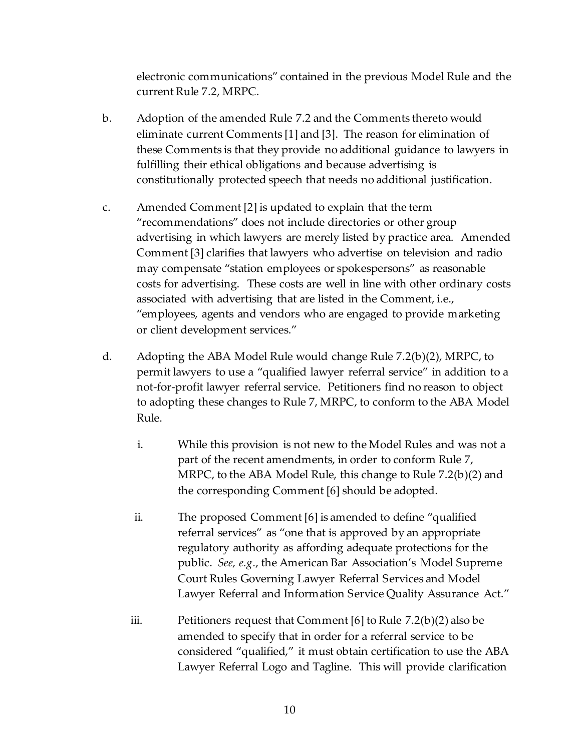electronic communications" contained in the previous Model Rule and the current Rule 7.2, MRPC.

- b. Adoption of the amended Rule 7.2 and the Comments thereto would eliminate current Comments [1] and [3]. The reason for elimination of these Comments is that they provide no additional guidance to lawyers in fulfilling their ethical obligations and because advertising is constitutionally protected speech that needs no additional justification.
- c. Amended Comment [2] is updated to explain that the term "recommendations" does not include directories or other group advertising in which lawyers are merely listed by practice area. Amended Comment [3] clarifies that lawyers who advertise on television and radio may compensate "station employees or spokespersons" as reasonable costs for advertising. These costs are well in line with other ordinary costs associated with advertising that are listed in the Comment, i.e., "employees, agents and vendors who are engaged to provide marketing or client development services."
- d. Adopting the ABA Model Rule would change Rule 7.2(b)(2), MRPC, to permit lawyers to use a "qualified lawyer referral service" in addition to a not-for-profit lawyer referral service. Petitioners find no reason to object to adopting these changes to Rule 7, MRPC, to conform to the ABA Model Rule.
	- i. While this provision is not new to the Model Rules and was not a part of the recent amendments, in order to conform Rule 7, MRPC, to the ABA Model Rule, this change to Rule 7.2(b)(2) and the corresponding Comment [6] should be adopted.
	- ii. The proposed Comment [6] is amended to define "qualified referral services" as "one that is approved by an appropriate regulatory authority as affording adequate protections for the public. See, e.g., the American Bar Association's Model Supreme Court Rules Governing Lawyer Referral Services and Model Lawyer Referral and Information Service Quality Assurance Act."
	- iii. Petitioners request that Comment [6] to Rule 7.2(b)(2) also be amended to specify that in order for a referral service to be considered "qualified," it must obtain certification to use the ABA Lawyer Referral Logo and Tagline. This will provide clarification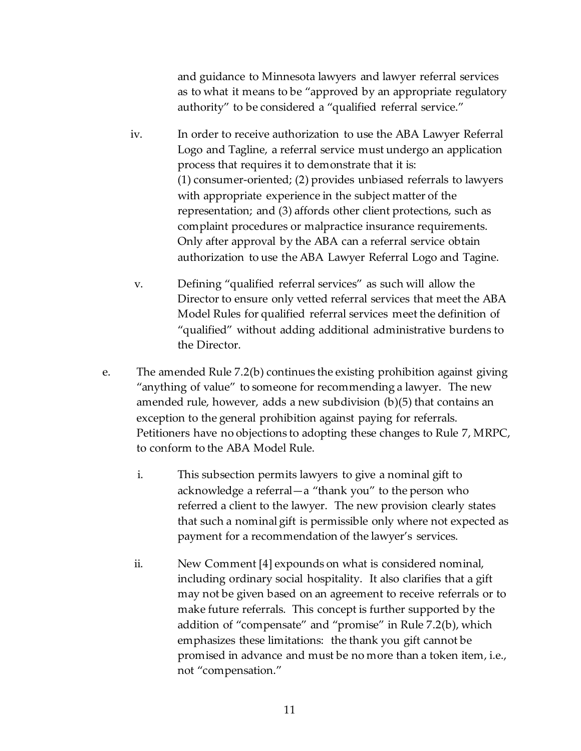and guidance to Minnesota lawyers and lawyer referral services as to what it means to be "approved by an appropriate regulatory authority" to be considered a "qualified referral service."

- iv. In order to receive authorization to use the ABA Lawyer Referral Logo and Tagline, a referral service must undergo an application process that requires it to demonstrate that it is: (1) consumer-oriented; (2) provides unbiased referrals to lawyers with appropriate experience in the subject matter of the representation; and (3) affords other client protections, such as complaint procedures or malpractice insurance requirements. Only after approval by the ABA can a referral service obtain authorization to use the ABA Lawyer Referral Logo and Tagine.
- v. Defining "qualified referral services" as such will allow the Director to ensure only vetted referral services that meet the ABA Model Rules for qualified referral services meet the definition of "qualified" without adding additional administrative burdens to the Director.
- e. The amended Rule 7.2(b) continues the existing prohibition against giving "anything of value" to someone for recommending a lawyer. The new amended rule, however, adds a new subdivision (b)(5) that contains an exception to the general prohibition against paying for referrals. Petitioners have no objections to adopting these changes to Rule 7, MRPC, to conform to the ABA Model Rule.
	- i. This subsection permits lawyers to give a nominal gift to acknowledge a referral—a "thank you" to the person who referred a client to the lawyer. The new provision clearly states that such a nominal gift is permissible only where not expected as payment for a recommendation of the lawyer's services.
	- ii. New Comment [4] expounds on what is considered nominal, including ordinary social hospitality. It also clarifies that a gift may not be given based on an agreement to receive referrals or to make future referrals. This concept is further supported by the addition of "compensate" and "promise" in Rule 7.2(b), which emphasizes these limitations: the thank you gift cannot be promised in advance and must be no more than a token item, i.e., not "compensation."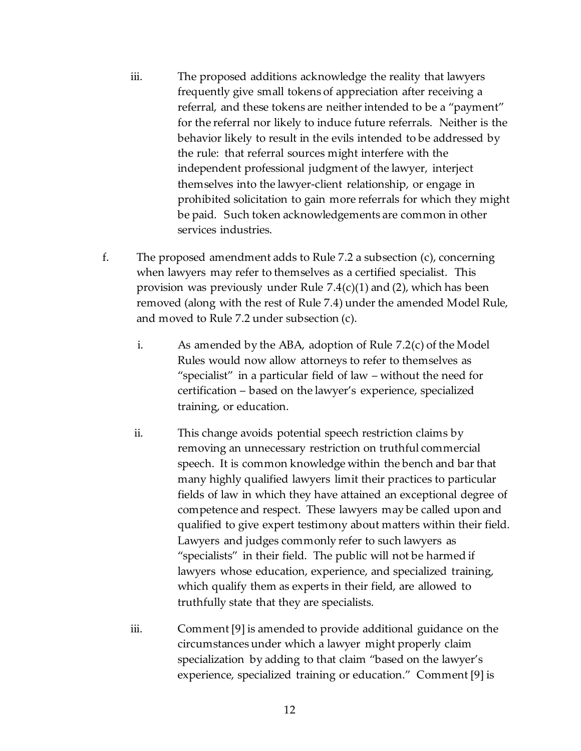- iii. The proposed additions acknowledge the reality that lawyers frequently give small tokens of appreciation after receiving a referral, and these tokens are neither intended to be a "payment" for the referral nor likely to induce future referrals. Neither is the behavior likely to result in the evils intended to be addressed by the rule: that referral sources might interfere with the independent professional judgment of the lawyer, interject themselves into the lawyer-client relationship, or engage in prohibited solicitation to gain more referrals for which they might be paid. Such token acknowledgements are common in other services industries.
- f. The proposed amendment adds to Rule 7.2 a subsection (c), concerning when lawyers may refer to themselves as a certified specialist. This provision was previously under Rule 7.4(c)(1) and (2), which has been removed (along with the rest of Rule 7.4) under the amended Model Rule, and moved to Rule 7.2 under subsection (c).
	- i. As amended by the ABA, adoption of Rule 7.2(c) of the Model Rules would now allow attorneys to refer to themselves as "specialist" in a particular field of law – without the need for certification – based on the lawyer's experience, specialized training, or education.
	- ii. This change avoids potential speech restriction claims by removing an unnecessary restriction on truthful commercial speech. It is common knowledge within the bench and bar that many highly qualified lawyers limit their practices to particular fields of law in which they have attained an exceptional degree of competence and respect. These lawyers may be called upon and qualified to give expert testimony about matters within their field. Lawyers and judges commonly refer to such lawyers as "specialists" in their field. The public will not be harmed if lawyers whose education, experience, and specialized training, which qualify them as experts in their field, are allowed to truthfully state that they are specialists.
	- iii. Comment [9] is amended to provide additional guidance on the circumstances under which a lawyer might properly claim specialization by adding to that claim "based on the lawyer's experience, specialized training or education." Comment [9] is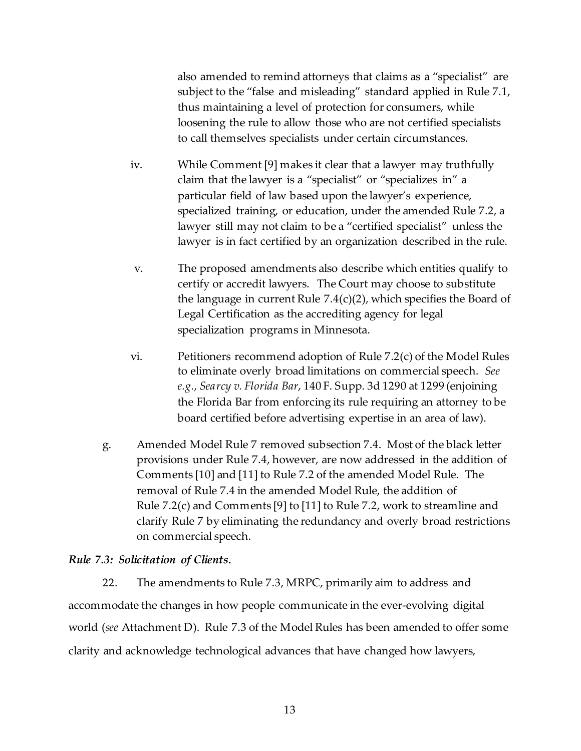also amended to remind attorneys that claims as a "specialist" are subject to the "false and misleading" standard applied in Rule 7.1, thus maintaining a level of protection for consumers, while loosening the rule to allow those who are not certified specialists to call themselves specialists under certain circumstances.

- iv. While Comment [9] makes it clear that a lawyer may truthfully claim that the lawyer is a "specialist" or "specializes in" a particular field of law based upon the lawyer's experience, specialized training, or education, under the amended Rule 7.2, a lawyer still may not claim to be a "certified specialist" unless the lawyer is in fact certified by an organization described in the rule.
- v. The proposed amendments also describe which entities qualify to certify or accredit lawyers. The Court may choose to substitute the language in current Rule 7.4(c)(2), which specifies the Board of Legal Certification as the accrediting agency for legal specialization programs in Minnesota.
- vi. Petitioners recommend adoption of Rule 7.2(c) of the Model Rules to eliminate overly broad limitations on commercial speech. See e.g., Searcy v. Florida Bar, 140 F. Supp. 3d 1290 at 1299 (enjoining the Florida Bar from enforcing its rule requiring an attorney to be board certified before advertising expertise in an area of law).
- g. Amended Model Rule 7 removed subsection 7.4. Most of the black letter provisions under Rule 7.4, however, are now addressed in the addition of Comments [10] and [11] to Rule 7.2 of the amended Model Rule. The removal of Rule 7.4 in the amended Model Rule, the addition of Rule 7.2(c) and Comments [9] to [11] to Rule 7.2, work to streamline and clarify Rule 7 by eliminating the redundancy and overly broad restrictions on commercial speech.

#### Rule 7.3: Solicitation of Clients.

22. The amendments to Rule 7.3, MRPC, primarily aim to address and accommodate the changes in how people communicate in the ever-evolving digital world (see Attachment D). Rule 7.3 of the Model Rules has been amended to offer some clarity and acknowledge technological advances that have changed how lawyers,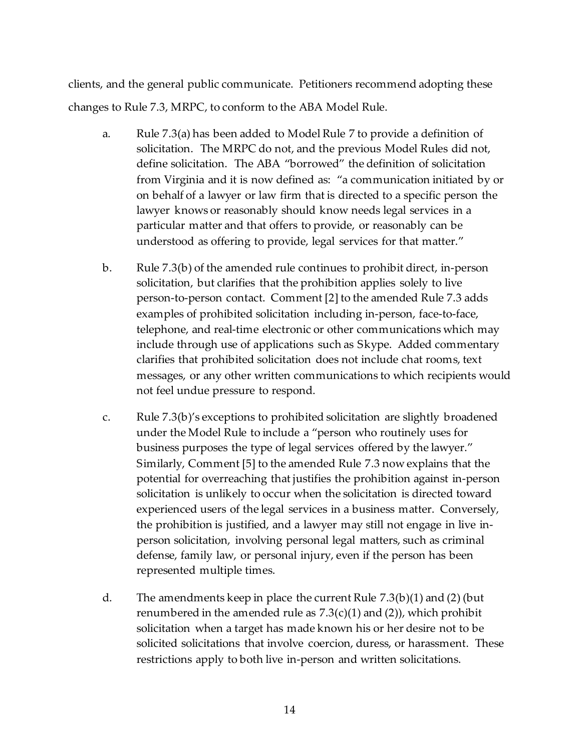clients, and the general public communicate. Petitioners recommend adopting these changes to Rule 7.3, MRPC, to conform to the ABA Model Rule.

- a. Rule 7.3(a) has been added to Model Rule 7 to provide a definition of solicitation. The MRPC do not, and the previous Model Rules did not, define solicitation. The ABA "borrowed" the definition of solicitation from Virginia and it is now defined as: "a communication initiated by or on behalf of a lawyer or law firm that is directed to a specific person the lawyer knows or reasonably should know needs legal services in a particular matter and that offers to provide, or reasonably can be understood as offering to provide, legal services for that matter."
- b. Rule 7.3(b) of the amended rule continues to prohibit direct, in-person solicitation, but clarifies that the prohibition applies solely to live person-to-person contact. Comment [2] to the amended Rule 7.3 adds examples of prohibited solicitation including in-person, face-to-face, telephone, and real-time electronic or other communications which may include through use of applications such as Skype. Added commentary clarifies that prohibited solicitation does not include chat rooms, text messages, or any other written communications to which recipients would not feel undue pressure to respond.
- c. Rule 7.3(b)'s exceptions to prohibited solicitation are slightly broadened under the Model Rule to include a "person who routinely uses for business purposes the type of legal services offered by the lawyer." Similarly, Comment [5] to the amended Rule 7.3 now explains that the potential for overreaching that justifies the prohibition against in-person solicitation is unlikely to occur when the solicitation is directed toward experienced users of the legal services in a business matter. Conversely, the prohibition is justified, and a lawyer may still not engage in live inperson solicitation, involving personal legal matters, such as criminal defense, family law, or personal injury, even if the person has been represented multiple times.
- d. The amendments keep in place the current Rule 7.3(b)(1) and (2) (but renumbered in the amended rule as  $7.3(c)(1)$  and (2)), which prohibit solicitation when a target has made known his or her desire not to be solicited solicitations that involve coercion, duress, or harassment. These restrictions apply to both live in-person and written solicitations.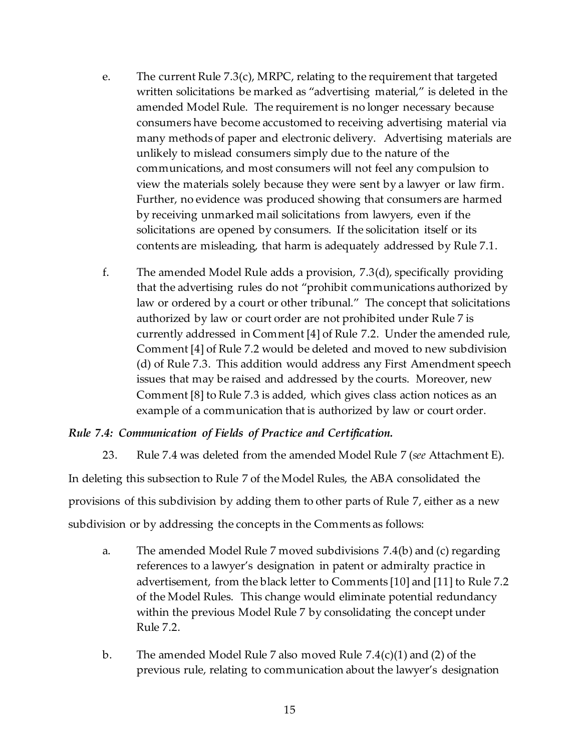- e. The current Rule 7.3(c), MRPC, relating to the requirement that targeted written solicitations be marked as "advertising material," is deleted in the amended Model Rule. The requirement is no longer necessary because consumers have become accustomed to receiving advertising material via many methods of paper and electronic delivery. Advertising materials are unlikely to mislead consumers simply due to the nature of the communications, and most consumers will not feel any compulsion to view the materials solely because they were sent by a lawyer or law firm. Further, no evidence was produced showing that consumers are harmed by receiving unmarked mail solicitations from lawyers, even if the solicitations are opened by consumers. If the solicitation itself or its contents are misleading, that harm is adequately addressed by Rule 7.1.
- f. The amended Model Rule adds a provision, 7.3(d), specifically providing that the advertising rules do not "prohibit communications authorized by law or ordered by a court or other tribunal." The concept that solicitations authorized by law or court order are not prohibited under Rule 7 is currently addressed in Comment [4] of Rule 7.2. Under the amended rule, Comment [4] of Rule 7.2 would be deleted and moved to new subdivision (d) of Rule 7.3. This addition would address any First Amendment speech issues that may be raised and addressed by the courts. Moreover, new Comment [8] to Rule 7.3 is added, which gives class action notices as an example of a communication that is authorized by law or court order.

## Rule 7.4: Communication of Fields of Practice and Certification.

23. Rule 7.4 was deleted from the amended Model Rule 7 (see Attachment E).

In deleting this subsection to Rule 7 of the Model Rules, the ABA consolidated the provisions of this subdivision by adding them to other parts of Rule 7, either as a new subdivision or by addressing the concepts in the Comments as follows:

- a. The amended Model Rule 7 moved subdivisions 7.4(b) and (c) regarding references to a lawyer's designation in patent or admiralty practice in advertisement, from the black letter to Comments [10] and [11] to Rule 7.2 of the Model Rules. This change would eliminate potential redundancy within the previous Model Rule 7 by consolidating the concept under Rule 7.2.
- b. The amended Model Rule 7 also moved Rule 7.4(c)(1) and (2) of the previous rule, relating to communication about the lawyer's designation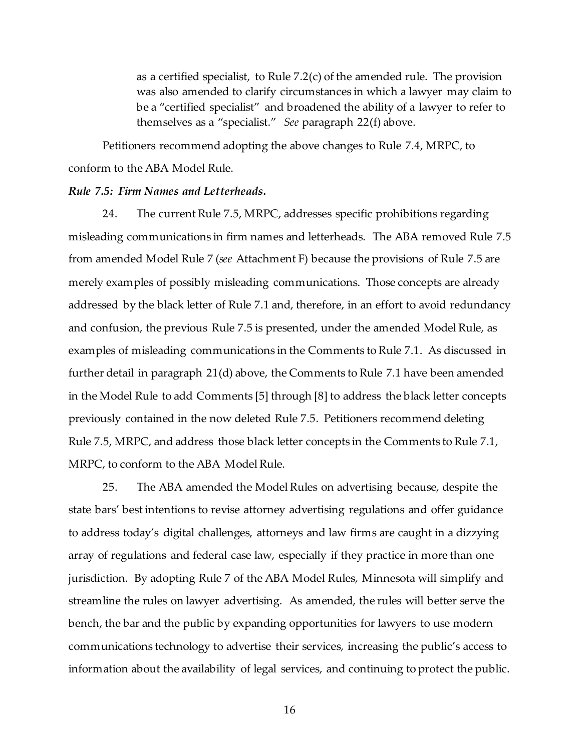as a certified specialist, to Rule 7.2(c) of the amended rule. The provision was also amended to clarify circumstances in which a lawyer may claim to be a "certified specialist" and broadened the ability of a lawyer to refer to themselves as a "specialist." See paragraph 22(f) above.

Petitioners recommend adopting the above changes to Rule 7.4, MRPC, to conform to the ABA Model Rule.

#### Rule 7.5: Firm Names and Letterheads.

24. The current Rule 7.5, MRPC, addresses specific prohibitions regarding misleading communications in firm names and letterheads. The ABA removed Rule 7.5 from amended Model Rule 7 (see Attachment F) because the provisions of Rule 7.5 are merely examples of possibly misleading communications. Those concepts are already addressed by the black letter of Rule 7.1 and, therefore, in an effort to avoid redundancy and confusion, the previous Rule 7.5 is presented, under the amended Model Rule, as examples of misleading communications in the Comments to Rule 7.1. As discussed in further detail in paragraph 21(d) above, the Comments to Rule 7.1 have been amended in the Model Rule to add Comments [5] through [8] to address the black letter concepts previously contained in the now deleted Rule 7.5. Petitioners recommend deleting Rule 7.5, MRPC, and address those black letter concepts in the Comments to Rule 7.1, MRPC, to conform to the ABA Model Rule.

25. The ABA amended the Model Rules on advertising because, despite the state bars' best intentions to revise attorney advertising regulations and offer guidance to address today's digital challenges, attorneys and law firms are caught in a dizzying array of regulations and federal case law, especially if they practice in more than one jurisdiction. By adopting Rule 7 of the ABA Model Rules, Minnesota will simplify and streamline the rules on lawyer advertising. As amended, the rules will better serve the bench, the bar and the public by expanding opportunities for lawyers to use modern communications technology to advertise their services, increasing the public's access to information about the availability of legal services, and continuing to protect the public.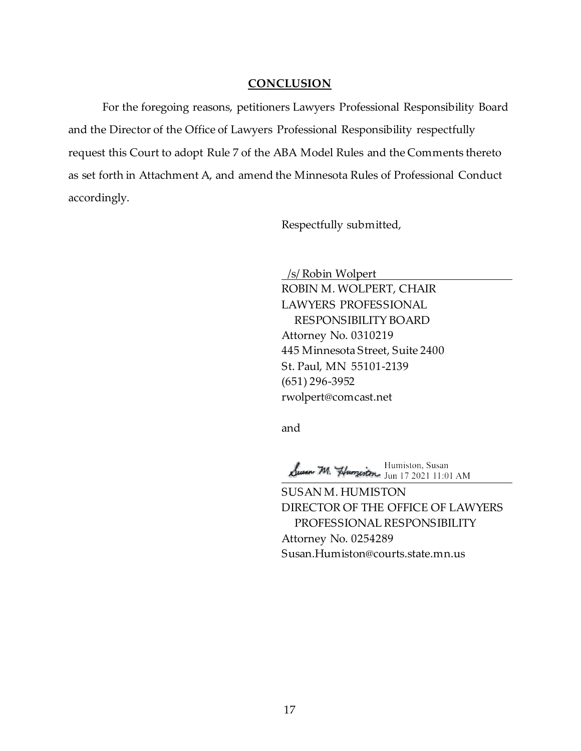#### **CONCLUSION**

For the foregoing reasons, petitioners Lawyers Professional Responsibility Board and the Director of the Office of Lawyers Professional Responsibility respectfully request this Court to adopt Rule 7 of the ABA Model Rules and the Comments thereto as set forth in Attachment A, and amend the Minnesota Rules of Professional Conduct accordingly.

Respectfully submitted,

 /s/ Robin Wolpert ROBIN M. WOLPERT, CHAIR LAWYERS PROFESSIONAL RESPONSIBILITY BOARD Attorney No. 0310219 445 Minnesota Street, Suite 2400 St. Paul, MN 55101-2139 (651) 296-3952 rwolpert@comcast.net

and and state of the state of the state of the state of the state of the state of the state of the state of the

Juson M. Humsenton Jun 17 2021 11:01 AM l

SUSAN M. HUMISTON DIRECTOR OF THE OFFICE OF LAWYERS PROFESSIONAL RESPONSIBILITY Attorney No. 0254289 Susan.Humiston@courts.state.mn.us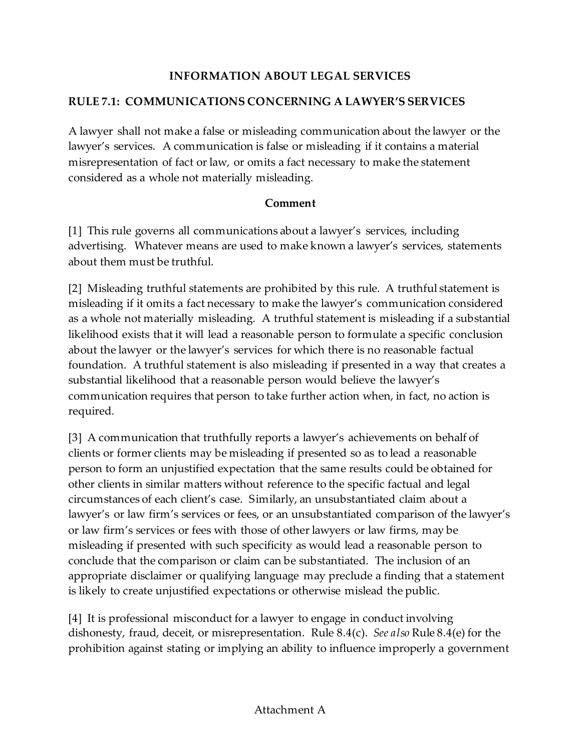# INFORMATION ABOUT LEGAL SERVICES

## RULE 7.1: COMMUNICATIONS CONCERNING A LAWYER'S SERVICES

A lawyer shall not make a false or misleading communication about the lawyer or the lawyer's services. A communication is false or misleading if it contains a material misrepresentation of fact or law, or omits a fact necessary to make the statement considered as a whole not materially misleading.

### Comment

[1] This rule governs all communications about a lawyer's services, including advertising. Whatever means are used to make known a lawyer's services, statements about them must be truthful.

[2] Misleading truthful statements are prohibited by this rule. A truthful statement is misleading if it omits a fact necessary to make the lawyer's communication considered as a whole not materially misleading. A truthful statement is misleading if a substantial likelihood exists that it will lead a reasonable person to formulate a specific conclusion about the lawyer or the lawyer's services for which there is no reasonable factual foundation. A truthful statement is also misleading if presented in a way that creates a substantial likelihood that a reasonable person would believe the lawyer's communication requires that person to take further action when, in fact, no action is required.

[3] A communication that truthfully reports a lawyer's achievements on behalf of clients or former clients may be misleading if presented so as to lead a reasonable person to form an unjustified expectation that the same results could be obtained for other clients in similar matters without reference to the specific factual and legal circumstances of each client's case. Similarly, an unsubstantiated claim about a lawyer's or law firm's services or fees, or an unsubstantiated comparison of the lawyer's or law firm's services or fees with those of other lawyers or law firms, may be misleading if presented with such specificity as would lead a reasonable person to conclude that the comparison or claim can be substantiated. The inclusion of an appropriate disclaimer or qualifying language may preclude a finding that a statement is likely to create unjustified expectations or otherwise mislead the public.

[4] It is professional misconduct for a lawyer to engage in conduct involving dishonesty, fraud, deceit, or misrepresentation. Rule  $8.4(c)$ . See also Rule  $8.4(e)$  for the prohibition against stating or implying an ability to influence improperly a government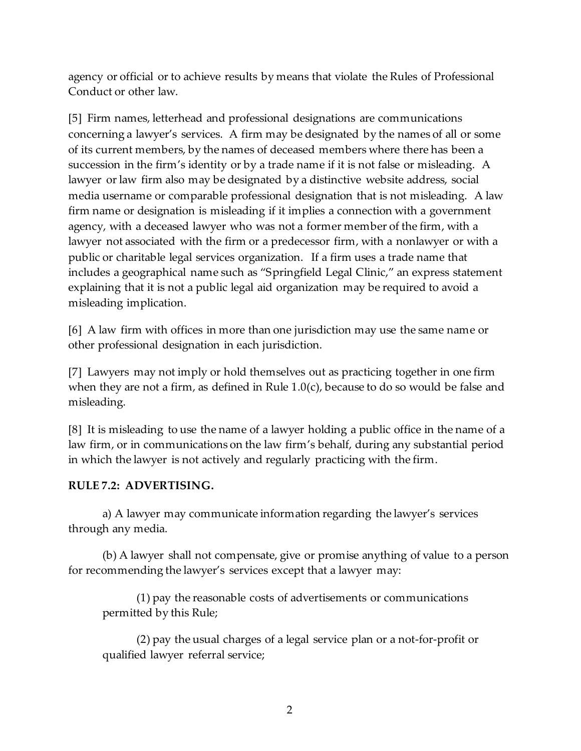agency or official or to achieve results by means that violate the Rules of Professional Conduct or other law.

[5] Firm names, letterhead and professional designations are communications concerning a lawyer's services. A firm may be designated by the names of all or some of its current members, by the names of deceased members where there has been a succession in the firm's identity or by a trade name if it is not false or misleading. A lawyer or law firm also may be designated by a distinctive website address, social media username or comparable professional designation that is not misleading. A law firm name or designation is misleading if it implies a connection with a government agency, with a deceased lawyer who was not a former member of the firm, with a lawyer not associated with the firm or a predecessor firm, with a nonlawyer or with a public or charitable legal services organization. If a firm uses a trade name that includes a geographical name such as "Springfield Legal Clinic," an express statement explaining that it is not a public legal aid organization may be required to avoid a misleading implication.

[6] A law firm with offices in more than one jurisdiction may use the same name or other professional designation in each jurisdiction.

[7] Lawyers may not imply or hold themselves out as practicing together in one firm when they are not a firm, as defined in Rule 1.0(c), because to do so would be false and misleading.

[8] It is misleading to use the name of a lawyer holding a public office in the name of a law firm, or in communications on the law firm's behalf, during any substantial period in which the lawyer is not actively and regularly practicing with the firm.

## RULE 7.2: ADVERTISING.

a) A lawyer may communicate information regarding the lawyer's services through any media.

(b) A lawyer shall not compensate, give or promise anything of value to a person for recommending the lawyer's services except that a lawyer may:

(1) pay the reasonable costs of advertisements or communications permitted by this Rule;

(2) pay the usual charges of a legal service plan or a not-for-profit or qualified lawyer referral service;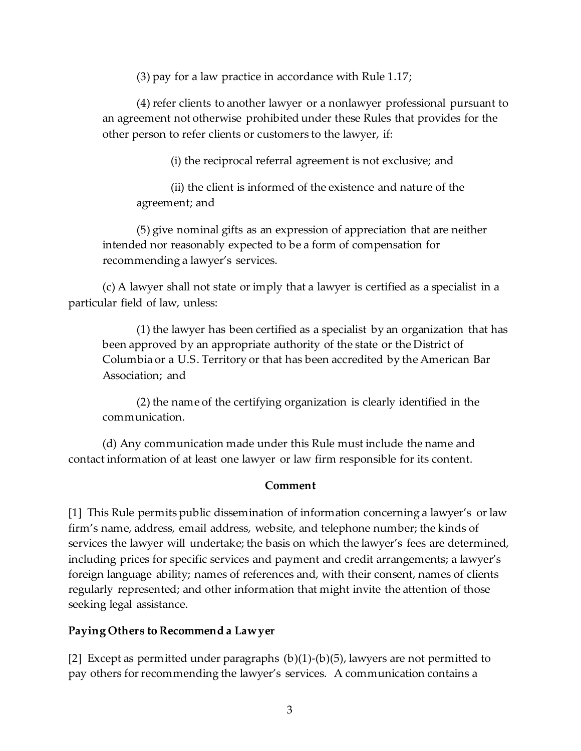(3) pay for a law practice in accordance with Rule 1.17;

(4) refer clients to another lawyer or a nonlawyer professional pursuant to an agreement not otherwise prohibited under these Rules that provides for the other person to refer clients or customers to the lawyer, if:

(i) the reciprocal referral agreement is not exclusive; and

(ii) the client is informed of the existence and nature of the agreement; and

(5) give nominal gifts as an expression of appreciation that are neither intended nor reasonably expected to be a form of compensation for recommending a lawyer's services.

(c) A lawyer shall not state or imply that a lawyer is certified as a specialist in a particular field of law, unless:

(1) the lawyer has been certified as a specialist by an organization that has been approved by an appropriate authority of the state or the District of Columbia or a U.S. Territory or that has been accredited by the American Bar Association; and

(2) the name of the certifying organization is clearly identified in the communication.

(d) Any communication made under this Rule must include the name and contact information of at least one lawyer or law firm responsible for its content.

#### Comment

[1] This Rule permits public dissemination of information concerning a lawyer's or law firm's name, address, email address, website, and telephone number; the kinds of services the lawyer will undertake; the basis on which the lawyer's fees are determined, including prices for specific services and payment and credit arrangements; a lawyer's foreign language ability; names of references and, with their consent, names of clients regularly represented; and other information that might invite the attention of those seeking legal assistance.

## Paying Others to Recommend a Lawyer

[2] Except as permitted under paragraphs (b)(1)-(b)(5), lawyers are not permitted to pay others for recommending the lawyer's services. A communication contains a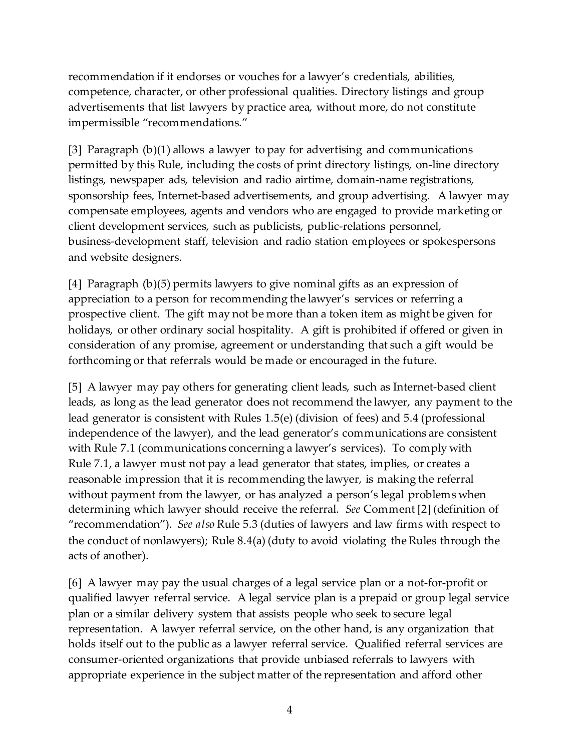recommendation if it endorses or vouches for a lawyer's credentials, abilities, competence, character, or other professional qualities. Directory listings and group advertisements that list lawyers by practice area, without more, do not constitute impermissible "recommendations."

[3] Paragraph (b)(1) allows a lawyer to pay for advertising and communications permitted by this Rule, including the costs of print directory listings, on-line directory listings, newspaper ads, television and radio airtime, domain-name registrations, sponsorship fees, Internet-based advertisements, and group advertising. A lawyer may compensate employees, agents and vendors who are engaged to provide marketing or client development services, such as publicists, public-relations personnel, business-development staff, television and radio station employees or spokespersons and website designers.

[4] Paragraph (b)(5) permits lawyers to give nominal gifts as an expression of appreciation to a person for recommending the lawyer's services or referring a prospective client. The gift may not be more than a token item as might be given for holidays, or other ordinary social hospitality. A gift is prohibited if offered or given in consideration of any promise, agreement or understanding that such a gift would be forthcoming or that referrals would be made or encouraged in the future.

[5] A lawyer may pay others for generating client leads, such as Internet-based client leads, as long as the lead generator does not recommend the lawyer, any payment to the lead generator is consistent with Rules 1.5(e) (division of fees) and 5.4 (professional independence of the lawyer), and the lead generator's communications are consistent with Rule 7.1 (communications concerning a lawyer's services). To comply with Rule 7.1, a lawyer must not pay a lead generator that states, implies, or creates a reasonable impression that it is recommending the lawyer, is making the referral without payment from the lawyer, or has analyzed a person's legal problems when determining which lawyer should receive the referral. See Comment [2] (definition of "recommendation"). See also Rule 5.3 (duties of lawyers and law firms with respect to the conduct of nonlawyers); Rule 8.4(a) (duty to avoid violating the Rules through the acts of another).

[6] A lawyer may pay the usual charges of a legal service plan or a not-for-profit or qualified lawyer referral service. A legal service plan is a prepaid or group legal service plan or a similar delivery system that assists people who seek to secure legal representation. A lawyer referral service, on the other hand, is any organization that holds itself out to the public as a lawyer referral service. Qualified referral services are consumer-oriented organizations that provide unbiased referrals to lawyers with appropriate experience in the subject matter of the representation and afford other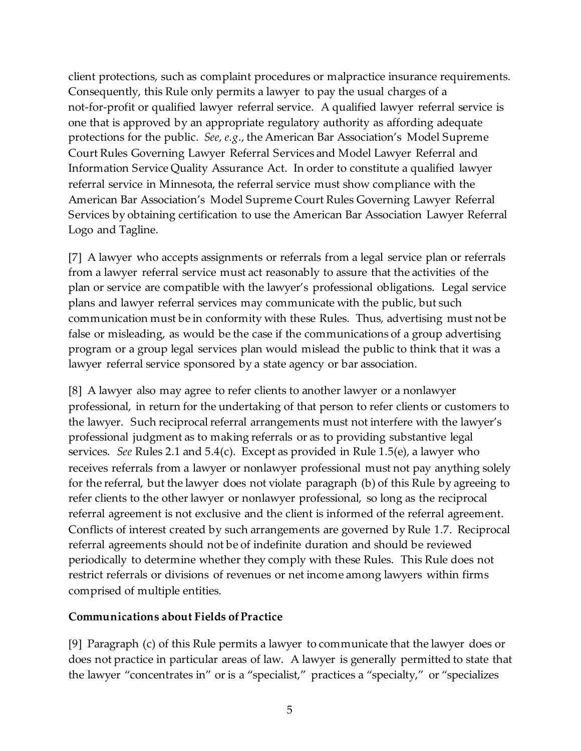client protections, such as complaint procedures or malpractice insurance requirements. Consequently, this Rule only permits a lawyer to pay the usual charges of a not-for-profit or qualified lawyer referral service. A qualified lawyer referral service is one that is approved by an appropriate regulatory authority as affording adequate protections for the public. See, e.g., the American Bar Association's Model Supreme Court Rules Governing Lawyer Referral Services and Model Lawyer Referral and Information Service Quality Assurance Act. In order to constitute a qualified lawyer referral service in Minnesota, the referral service must show compliance with the American Bar Association's Model Supreme Court Rules Governing Lawyer Referral Services by obtaining certification to use the American Bar Association Lawyer Referral Logo and Tagline.

[7] A lawyer who accepts assignments or referrals from a legal service plan or referrals from a lawyer referral service must act reasonably to assure that the activities of the plan or service are compatible with the lawyer's professional obligations. Legal service plans and lawyer referral services may communicate with the public, but such communication must be in conformity with these Rules. Thus, advertising must not be false or misleading, as would be the case if the communications of a group advertising program or a group legal services plan would mislead the public to think that it was a lawyer referral service sponsored by a state agency or bar association.

[8] A lawyer also may agree to refer clients to another lawyer or a nonlawyer professional, in return for the undertaking of that person to refer clients or customers to the lawyer. Such reciprocal referral arrangements must not interfere with the lawyer's professional judgment as to making referrals or as to providing substantive legal services. See Rules 2.1 and 5.4(c). Except as provided in Rule 1.5(e), a lawyer who receives referrals from a lawyer or nonlawyer professional must not pay anything solely for the referral, but the lawyer does not violate paragraph (b) of this Rule by agreeing to refer clients to the other lawyer or nonlawyer professional, so long as the reciprocal referral agreement is not exclusive and the client is informed of the referral agreement. Conflicts of interest created by such arrangements are governed by Rule 1.7. Reciprocal referral agreements should not be of indefinite duration and should be reviewed periodically to determine whether they comply with these Rules. This Rule does not restrict referrals or divisions of revenues or net income among lawyers within firms comprised of multiple entities.

## Communications about Fields of Practice

[9] Paragraph (c) of this Rule permits a lawyer to communicate that the lawyer does or does not practice in particular areas of law. A lawyer is generally permitted to state that the lawyer "concentrates in" or is a "specialist," practices a "specialty," or "specializes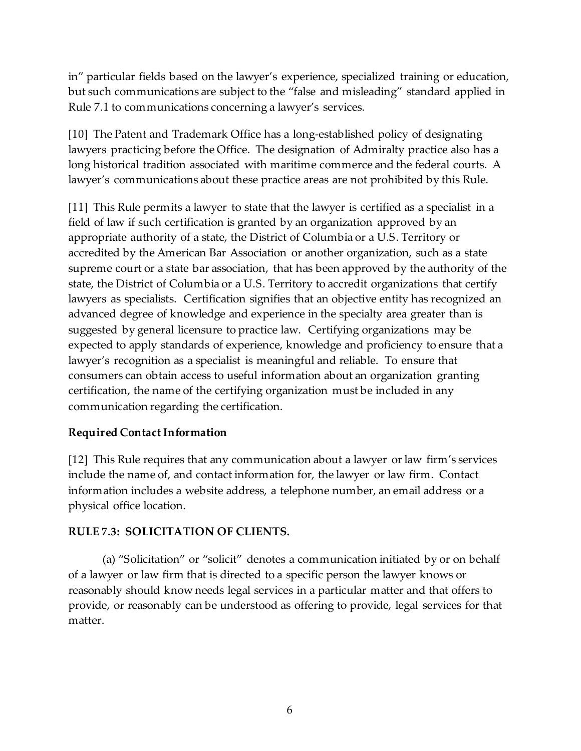in" particular fields based on the lawyer's experience, specialized training or education, but such communications are subject to the "false and misleading" standard applied in Rule 7.1 to communications concerning a lawyer's services.

[10] The Patent and Trademark Office has a long-established policy of designating lawyers practicing before the Office. The designation of Admiralty practice also has a long historical tradition associated with maritime commerce and the federal courts. A lawyer's communications about these practice areas are not prohibited by this Rule.

[11] This Rule permits a lawyer to state that the lawyer is certified as a specialist in a field of law if such certification is granted by an organization approved by an appropriate authority of a state, the District of Columbia or a U.S. Territory or accredited by the American Bar Association or another organization, such as a state supreme court or a state bar association, that has been approved by the authority of the state, the District of Columbia or a U.S. Territory to accredit organizations that certify lawyers as specialists. Certification signifies that an objective entity has recognized an advanced degree of knowledge and experience in the specialty area greater than is suggested by general licensure to practice law. Certifying organizations may be expected to apply standards of experience, knowledge and proficiency to ensure that a lawyer's recognition as a specialist is meaningful and reliable. To ensure that consumers can obtain access to useful information about an organization granting certification, the name of the certifying organization must be included in any communication regarding the certification.

## Required Contact Information

[12] This Rule requires that any communication about a lawyer or law firm's services include the name of, and contact information for, the lawyer or law firm. Contact information includes a website address, a telephone number, an email address or a physical office location.

#### RULE 7.3: SOLICITATION OF CLIENTS.

(a) "Solicitation" or "solicit" denotes a communication initiated by or on behalf of a lawyer or law firm that is directed to a specific person the lawyer knows or reasonably should know needs legal services in a particular matter and that offers to provide, or reasonably can be understood as offering to provide, legal services for that matter.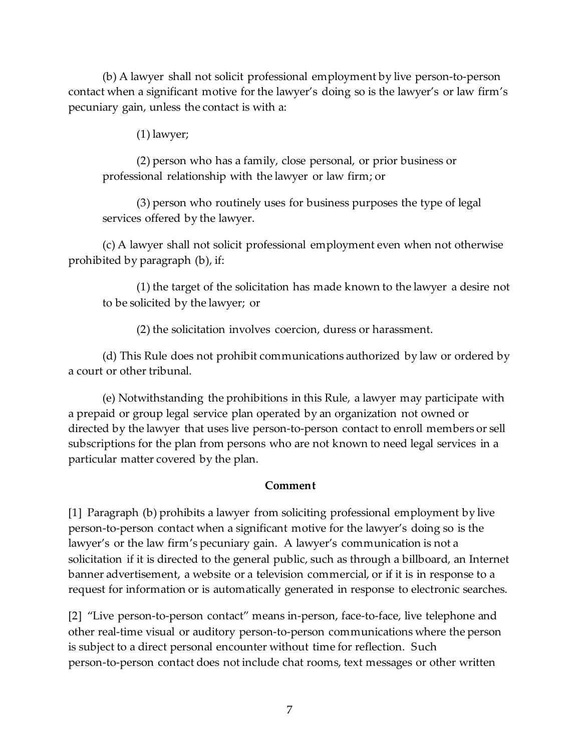(b) A lawyer shall not solicit professional employment by live person-to-person contact when a significant motive for the lawyer's doing so is the lawyer's or law firm's pecuniary gain, unless the contact is with a:

(1) lawyer;

(2) person who has a family, close personal, or prior business or professional relationship with the lawyer or law firm; or

(3) person who routinely uses for business purposes the type of legal services offered by the lawyer.

(c) A lawyer shall not solicit professional employment even when not otherwise prohibited by paragraph (b), if:

(1) the target of the solicitation has made known to the lawyer a desire not to be solicited by the lawyer; or

(2) the solicitation involves coercion, duress or harassment.

(d) This Rule does not prohibit communications authorized by law or ordered by a court or other tribunal.

(e) Notwithstanding the prohibitions in this Rule, a lawyer may participate with a prepaid or group legal service plan operated by an organization not owned or directed by the lawyer that uses live person-to-person contact to enroll members or sell subscriptions for the plan from persons who are not known to need legal services in a particular matter covered by the plan.

#### Comment

[1] Paragraph (b) prohibits a lawyer from soliciting professional employment by live person-to-person contact when a significant motive for the lawyer's doing so is the lawyer's or the law firm's pecuniary gain. A lawyer's communication is not a solicitation if it is directed to the general public, such as through a billboard, an Internet banner advertisement, a website or a television commercial, or if it is in response to a request for information or is automatically generated in response to electronic searches.

[2] "Live person-to-person contact" means in-person, face-to-face, live telephone and other real-time visual or auditory person-to-person communications where the person is subject to a direct personal encounter without time for reflection. Such person-to-person contact does not include chat rooms, text messages or other written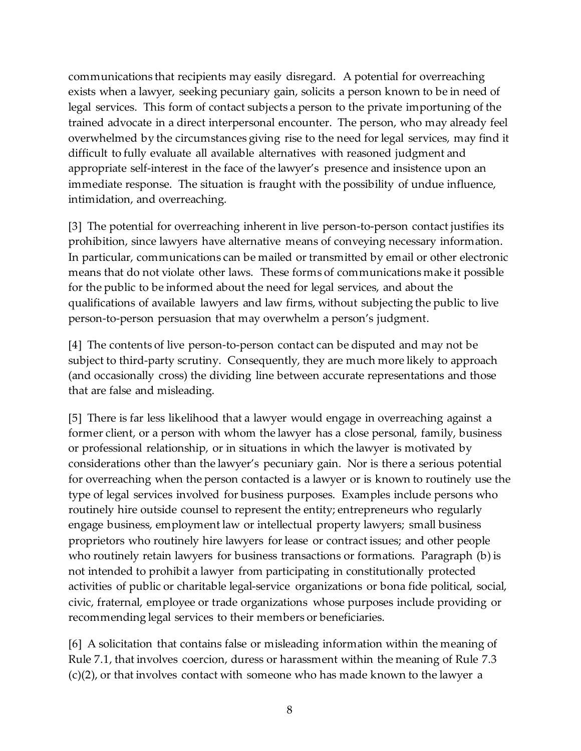communications that recipients may easily disregard. A potential for overreaching exists when a lawyer, seeking pecuniary gain, solicits a person known to be in need of legal services. This form of contact subjects a person to the private importuning of the trained advocate in a direct interpersonal encounter. The person, who may already feel overwhelmed by the circumstances giving rise to the need for legal services, may find it difficult to fully evaluate all available alternatives with reasoned judgment and appropriate self-interest in the face of the lawyer's presence and insistence upon an immediate response. The situation is fraught with the possibility of undue influence, intimidation, and overreaching.

[3] The potential for overreaching inherent in live person-to-person contact justifies its prohibition, since lawyers have alternative means of conveying necessary information. In particular, communications can be mailed or transmitted by email or other electronic means that do not violate other laws. These forms of communications make it possible for the public to be informed about the need for legal services, and about the qualifications of available lawyers and law firms, without subjecting the public to live person-to-person persuasion that may overwhelm a person's judgment.

[4] The contents of live person-to-person contact can be disputed and may not be subject to third-party scrutiny. Consequently, they are much more likely to approach (and occasionally cross) the dividing line between accurate representations and those that are false and misleading.

[5] There is far less likelihood that a lawyer would engage in overreaching against a former client, or a person with whom the lawyer has a close personal, family, business or professional relationship, or in situations in which the lawyer is motivated by considerations other than the lawyer's pecuniary gain. Nor is there a serious potential for overreaching when the person contacted is a lawyer or is known to routinely use the type of legal services involved for business purposes. Examples include persons who routinely hire outside counsel to represent the entity; entrepreneurs who regularly engage business, employment law or intellectual property lawyers; small business proprietors who routinely hire lawyers for lease or contract issues; and other people who routinely retain lawyers for business transactions or formations. Paragraph (b) is not intended to prohibit a lawyer from participating in constitutionally protected activities of public or charitable legal-service organizations or bona fide political, social, civic, fraternal, employee or trade organizations whose purposes include providing or recommending legal services to their members or beneficiaries.

[6] A solicitation that contains false or misleading information within the meaning of Rule 7.1, that involves coercion, duress or harassment within the meaning of Rule 7.3 (c)(2), or that involves contact with someone who has made known to the lawyer a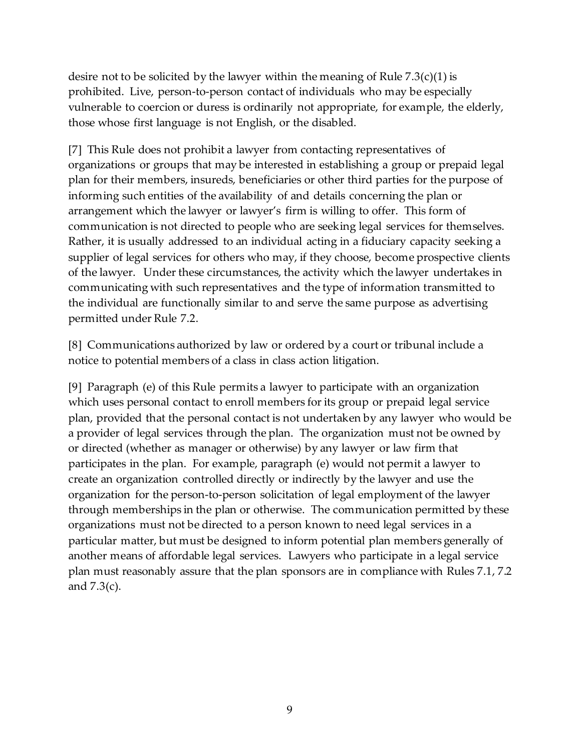desire not to be solicited by the lawyer within the meaning of Rule  $7.3(c)(1)$  is prohibited. Live, person-to-person contact of individuals who may be especially vulnerable to coercion or duress is ordinarily not appropriate, for example, the elderly, those whose first language is not English, or the disabled.

[7] This Rule does not prohibit a lawyer from contacting representatives of organizations or groups that may be interested in establishing a group or prepaid legal plan for their members, insureds, beneficiaries or other third parties for the purpose of informing such entities of the availability of and details concerning the plan or arrangement which the lawyer or lawyer's firm is willing to offer. This form of communication is not directed to people who are seeking legal services for themselves. Rather, it is usually addressed to an individual acting in a fiduciary capacity seeking a supplier of legal services for others who may, if they choose, become prospective clients of the lawyer. Under these circumstances, the activity which the lawyer undertakes in communicating with such representatives and the type of information transmitted to the individual are functionally similar to and serve the same purpose as advertising permitted under Rule 7.2.

[8] Communications authorized by law or ordered by a court or tribunal include a notice to potential members of a class in class action litigation.

[9] Paragraph (e) of this Rule permits a lawyer to participate with an organization which uses personal contact to enroll members for its group or prepaid legal service plan, provided that the personal contact is not undertaken by any lawyer who would be a provider of legal services through the plan. The organization must not be owned by or directed (whether as manager or otherwise) by any lawyer or law firm that participates in the plan. For example, paragraph (e) would not permit a lawyer to create an organization controlled directly or indirectly by the lawyer and use the organization for the person-to-person solicitation of legal employment of the lawyer through memberships in the plan or otherwise. The communication permitted by these organizations must not be directed to a person known to need legal services in a particular matter, but must be designed to inform potential plan members generally of another means of affordable legal services. Lawyers who participate in a legal service plan must reasonably assure that the plan sponsors are in compliance with Rules 7.1, 7.2 and 7.3(c).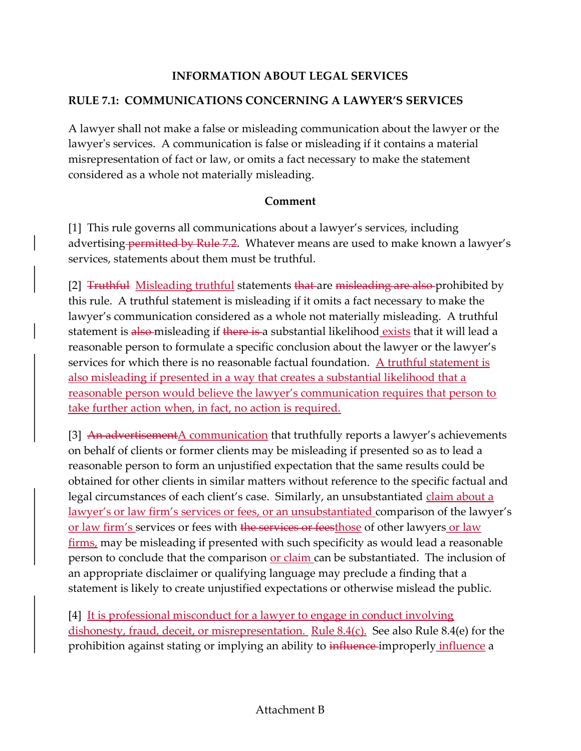# INFORMATION ABOUT LEGAL SERVICES

## RULE 7.1: COMMUNICATIONS CONCERNING A LAWYER'S SERVICES

A lawyer shall not make a false or misleading communication about the lawyer or the lawyer's services. A communication is false or misleading if it contains a material misrepresentation of fact or law, or omits a fact necessary to make the statement considered as a whole not materially misleading.

### Comment

[1] This rule governs all communications about a lawyer's services, including advertising permitted by Rule 7.2. Whatever means are used to make known a lawyer's services, statements about them must be truthful.

[2] <del>Truthful</del> Misleading truthful statements that are misleading are also-prohibited by this rule. A truthful statement is misleading if it omits a fact necessary to make the lawyer's communication considered as a whole not materially misleading. A truthful statement is also-misleading if there is a substantial likelihood exists that it will lead a reasonable person to formulate a specific conclusion about the lawyer or the lawyer's services for which there is no reasonable factual foundation.  $\Delta$  truthful statement is also misleading if presented in a way that creates a substantial likelihood that a reasonable person would believe the lawyer's communication requires that person to take further action when, in fact, no action is required.

[3]  $\Delta n$  advertisement $\Delta$  communication that truthfully reports a lawyer's achievements on behalf of clients or former clients may be misleading if presented so as to lead a reasonable person to form an unjustified expectation that the same results could be obtained for other clients in similar matters without reference to the specific factual and legal circumstances of each client's case. Similarly, an unsubstantiated claim about a lawyer's or law firm's services or fees, or an unsubstantiated comparison of the lawyer's or law firm's services or fees with the services or feesthose of other lawyers or law firms, may be misleading if presented with such specificity as would lead a reasonable person to conclude that the comparison <u>or claim</u> can be substantiated. The inclusion of an appropriate disclaimer or qualifying language may preclude a finding that a statement is likely to create unjustified expectations or otherwise mislead the public.

[4] It is professional misconduct for a lawyer to engage in conduct involving dishonesty, fraud, deceit, or misrepresentation. Rule  $8.4(c)$ . See also Rule  $8.4(e)$  for the prohibition against stating or implying an ability to influence improperly influence a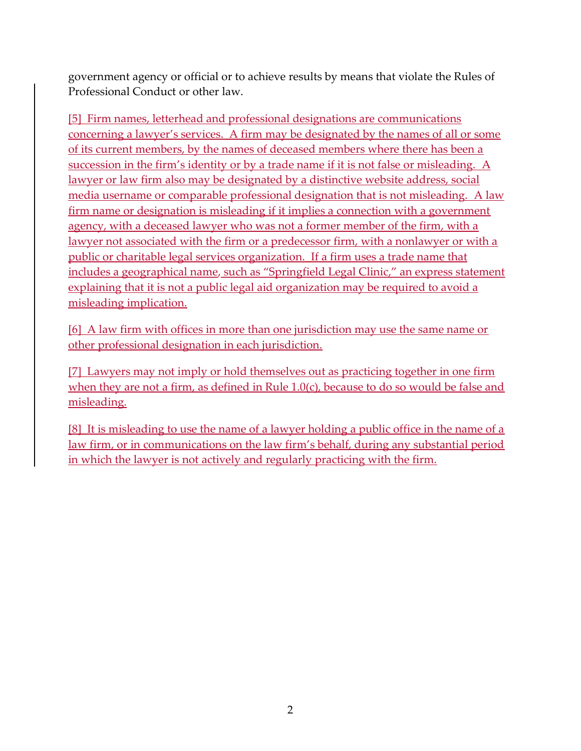government agency or official or to achieve results by means that violate the Rules of Professional Conduct or other law.

[5] Firm names, letterhead and professional designations are communications concerning a lawyer's services. A firm may be designated by the names of all or some of its current members, by the names of deceased members where there has been a succession in the firm's identity or by a trade name if it is not false or misleading. A lawyer or law firm also may be designated by a distinctive website address, social media username or comparable professional designation that is not misleading. A law firm name or designation is misleading if it implies a connection with a government agency, with a deceased lawyer who was not a former member of the firm, with a lawyer not associated with the firm or a predecessor firm, with a nonlawyer or with a public or charitable legal services organization. If a firm uses a trade name that includes a geographical name, such as "Springfield Legal Clinic," an express statement explaining that it is not a public legal aid organization may be required to avoid a misleading implication.

[6] A law firm with offices in more than one jurisdiction may use the same name or other professional designation in each jurisdiction.

[7] Lawyers may not imply or hold themselves out as practicing together in one firm when they are not a firm, as defined in Rule 1.0(c), because to do so would be false and misleading.

[8] It is misleading to use the name of a lawyer holding a public office in the name of a law firm, or in communications on the law firm's behalf, during any substantial period in which the lawyer is not actively and regularly practicing with the firm.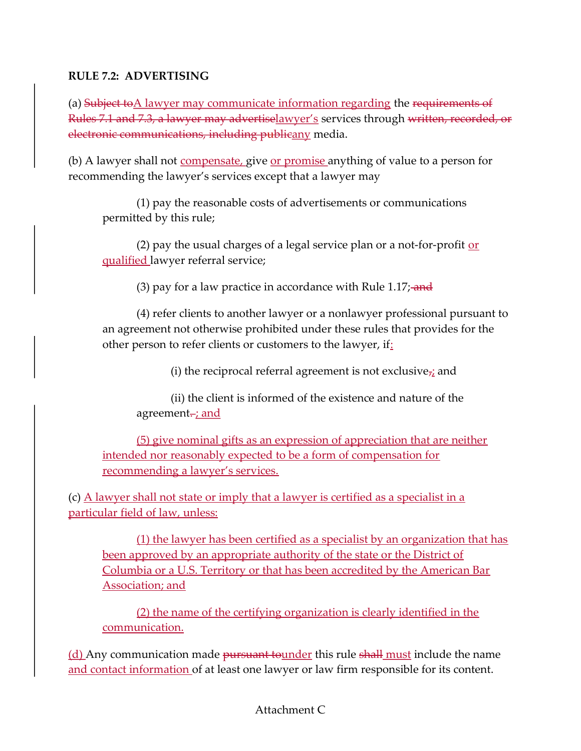# RULE 7.2: ADVERTISING

(a) Subject to  $\Delta$  lawyer may communicate information regarding the requirements of Rules 7.1 and 7.3, a lawyer may advertiselawyer's services through written, recorded, or electronic communications, including publicany media.

(b) A lawyer shall not compensate, give or promise anything of value to a person for recommending the lawyer's services except that a lawyer may

(1) pay the reasonable costs of advertisements or communications permitted by this rule;

(2) pay the usual charges of a legal service plan or a not-for-profit  $or$ qualified lawyer referral service;

(3) pay for a law practice in accordance with Rule 1.17; and

(4) refer clients to another lawyer or a nonlawyer professional pursuant to an agreement not otherwise prohibited under these rules that provides for the other person to refer clients or customers to the lawyer, if:

(i) the reciprocal referral agreement is not exclusive $\vec{z}$  and

(ii) the client is informed of the existence and nature of the agreement-; and

(5) give nominal gifts as an expression of appreciation that are neither intended nor reasonably expected to be a form of compensation for recommending a lawyer's services.

(c) A lawyer shall not state or imply that a lawyer is certified as a specialist in a particular field of law, unless:

(1) the lawyer has been certified as a specialist by an organization that has been approved by an appropriate authority of the state or the District of Columbia or a U.S. Territory or that has been accredited by the American Bar Association; and

(2) the name of the certifying organization is clearly identified in the communication.

(d) Any communication made pursuant tounder this rule shall must include the name and contact information of at least one lawyer or law firm responsible for its content.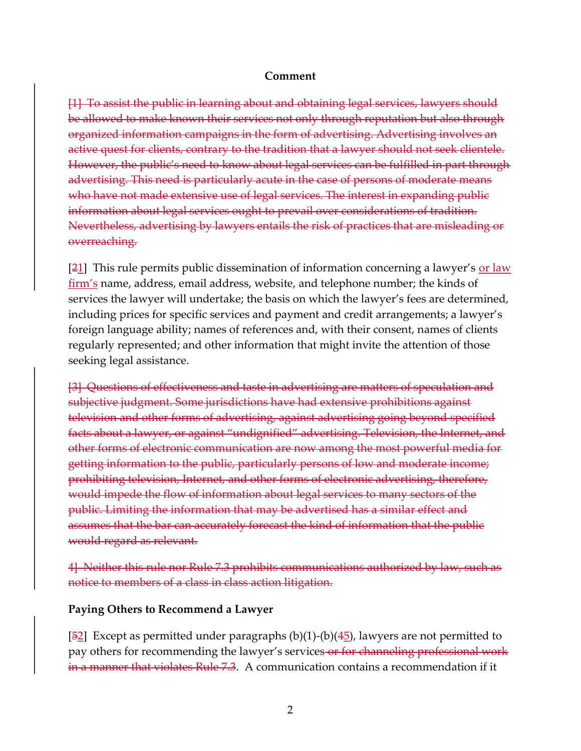#### Comment

[1] To assist the public in learning about and obtaining legal services, lawyers should be allowed to make known their services not only through reputation but also through organized information campaigns in the form of advertising. Advertising involves an active quest for clients, contrary to the tradition that a lawyer should not seek clientele. However, the public's need to know about legal services can be fulfilled in part through advertising. This need is particularly acute in the case of persons of moderate means who have not made extensive use of legal services. The interest in expanding public information about legal services ought to prevail over considerations of tradition. Nevertheless, advertising by lawyers entails the risk of practices that are misleading or overreaching.

 $[21]$  This rule permits public dissemination of information concerning a lawyer's or law firm's name, address, email address, website, and telephone number; the kinds of services the lawyer will undertake; the basis on which the lawyer's fees are determined, including prices for specific services and payment and credit arrangements; a lawyer's foreign language ability; names of references and, with their consent, names of clients regularly represented; and other information that might invite the attention of those seeking legal assistance.

[3] Questions of effectiveness and taste in advertising are matters of speculation and subjective judgment. Some jurisdictions have had extensive prohibitions against television and other forms of advertising, against advertising going beyond specified facts about a lawyer, or against "undignified" advertising. Television, the Internet, and other forms of electronic communication are now among the most powerful media for getting information to the public, particularly persons of low and moderate income; prohibiting television, Internet, and other forms of electronic advertising, therefore, would impede the flow of information about legal services to many sectors of the public. Limiting the information that may be advertised has a similar effect and assumes that the bar can accurately forecast the kind of information that the public would regard as relevant.

4] Neither this rule nor Rule 7.3 prohibits communications authorized by law, such as notice to members of a class in class action litigation.

#### Paying Others to Recommend a Lawyer

[52] Except as permitted under paragraphs  $(b)(1)-(b)(45)$ , lawyers are not permitted to pay others for recommending the lawyer's services-or for channeling professional work in a manner that violates Rule 7.3. A communication contains a recommendation if it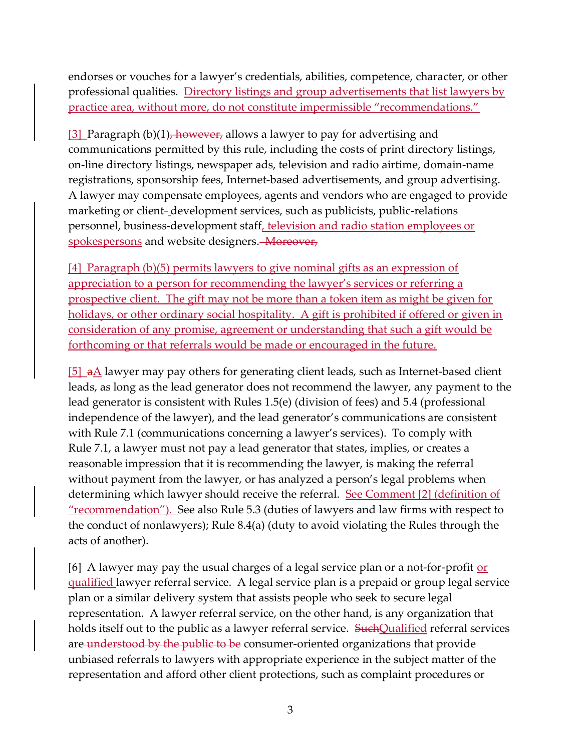endorses or vouches for a lawyer's credentials, abilities, competence, character, or other professional qualities. Directory listings and group advertisements that list lawyers by practice area, without more, do not constitute impermissible "recommendations."

 $[3]$  Paragraph (b)(1), however, allows a lawyer to pay for advertising and communications permitted by this rule, including the costs of print directory listings, on-line directory listings, newspaper ads, television and radio airtime, domain-name registrations, sponsorship fees, Internet-based advertisements, and group advertising. A lawyer may compensate employees, agents and vendors who are engaged to provide marketing or client-development services, such as publicists, public-relations personnel, business-development staff, television and radio station employees or spokespersons and website designers. Moreover,

[4] Paragraph (b)(5) permits lawyers to give nominal gifts as an expression of appreciation to a person for recommending the lawyer's services or referring a prospective client. The gift may not be more than a token item as might be given for holidays, or other ordinary social hospitality. A gift is prohibited if offered or given in consideration of any promise, agreement or understanding that such a gift would be forthcoming or that referrals would be made or encouraged in the future.

 $[5]$  a $\overline{A}$  lawyer may pay others for generating client leads, such as Internet-based client leads, as long as the lead generator does not recommend the lawyer, any payment to the lead generator is consistent with Rules 1.5(e) (division of fees) and 5.4 (professional independence of the lawyer), and the lead generator's communications are consistent with Rule 7.1 (communications concerning a lawyer's services). To comply with Rule 7.1, a lawyer must not pay a lead generator that states, implies, or creates a reasonable impression that it is recommending the lawyer, is making the referral without payment from the lawyer, or has analyzed a person's legal problems when determining which lawyer should receive the referral. See Comment [2] (definition of "recommendation"). See also Rule 5.3 (duties of lawyers and law firms with respect to the conduct of nonlawyers); Rule 8.4(a) (duty to avoid violating the Rules through the acts of another).

[6] A lawyer may pay the usual charges of a legal service plan or a not-for-profit  $or$ </u> qualified lawyer referral service. A legal service plan is a prepaid or group legal service plan or a similar delivery system that assists people who seek to secure legal representation. A lawyer referral service, on the other hand, is any organization that holds itself out to the public as a lawyer referral service. SuchQualified referral services are understood by the public to be consumer-oriented organizations that provide unbiased referrals to lawyers with appropriate experience in the subject matter of the representation and afford other client protections, such as complaint procedures or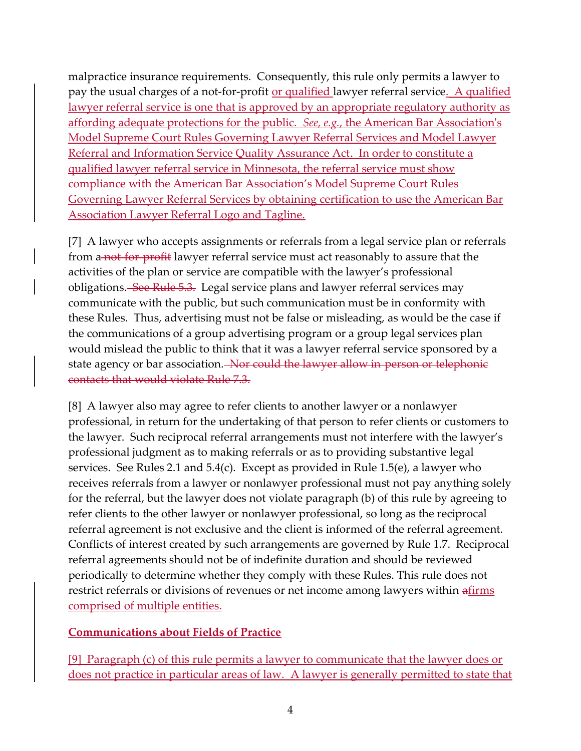malpractice insurance requirements. Consequently, this rule only permits a lawyer to pay the usual charges of a not-for-profit or qualified lawyer referral service. A qualified lawyer referral service is one that is approved by an appropriate regulatory authority as affording adequate protections for the public. See, e.g., the American Bar Association's Model Supreme Court Rules Governing Lawyer Referral Services and Model Lawyer Referral and Information Service Quality Assurance Act. In order to constitute a qualified lawyer referral service in Minnesota, the referral service must show compliance with the American Bar Association's Model Supreme Court Rules Governing Lawyer Referral Services by obtaining certification to use the American Bar Association Lawyer Referral Logo and Tagline.

[7] A lawyer who accepts assignments or referrals from a legal service plan or referrals from a not for profit lawyer referral service must act reasonably to assure that the activities of the plan or service are compatible with the lawyer's professional obligations. See Rule 5.3. Legal service plans and lawyer referral services may communicate with the public, but such communication must be in conformity with these Rules. Thus, advertising must not be false or misleading, as would be the case if the communications of a group advertising program or a group legal services plan would mislead the public to think that it was a lawyer referral service sponsored by a state agency or bar association. Nor could the lawyer allow in person or telephonic contacts that would violate Rule 7.3.

[8] A lawyer also may agree to refer clients to another lawyer or a nonlawyer professional, in return for the undertaking of that person to refer clients or customers to the lawyer. Such reciprocal referral arrangements must not interfere with the lawyer's professional judgment as to making referrals or as to providing substantive legal services. See Rules 2.1 and 5.4(c). Except as provided in Rule 1.5(e), a lawyer who receives referrals from a lawyer or nonlawyer professional must not pay anything solely for the referral, but the lawyer does not violate paragraph (b) of this rule by agreeing to refer clients to the other lawyer or nonlawyer professional, so long as the reciprocal referral agreement is not exclusive and the client is informed of the referral agreement. Conflicts of interest created by such arrangements are governed by Rule 1.7. Reciprocal referral agreements should not be of indefinite duration and should be reviewed periodically to determine whether they comply with these Rules. This rule does not restrict referrals or divisions of revenues or net income among lawyers within afirms comprised of multiple entities.

# Communications about Fields of Practice

[9] Paragraph (c) of this rule permits a lawyer to communicate that the lawyer does or does not practice in particular areas of law. A lawyer is generally permitted to state that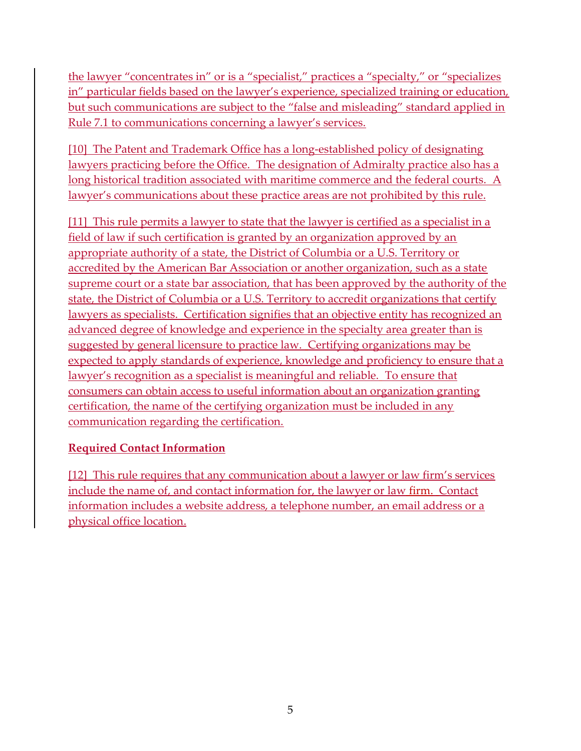the lawyer "concentrates in" or is a "specialist," practices a "specialty," or "specializes in" particular fields based on the lawyer's experience, specialized training or education, but such communications are subject to the "false and misleading" standard applied in Rule 7.1 to communications concerning a lawyer's services.

[10] The Patent and Trademark Office has a long-established policy of designating lawyers practicing before the Office. The designation of Admiralty practice also has a long historical tradition associated with maritime commerce and the federal courts. A lawyer's communications about these practice areas are not prohibited by this rule.

[11] This rule permits a lawyer to state that the lawyer is certified as a specialist in a field of law if such certification is granted by an organization approved by an appropriate authority of a state, the District of Columbia or a U.S. Territory or accredited by the American Bar Association or another organization, such as a state supreme court or a state bar association, that has been approved by the authority of the state, the District of Columbia or a U.S. Territory to accredit organizations that certify lawyers as specialists. Certification signifies that an objective entity has recognized an advanced degree of knowledge and experience in the specialty area greater than is suggested by general licensure to practice law. Certifying organizations may be expected to apply standards of experience, knowledge and proficiency to ensure that a lawyer's recognition as a specialist is meaningful and reliable. To ensure that consumers can obtain access to useful information about an organization granting certification, the name of the certifying organization must be included in any communication regarding the certification.

# Required Contact Information

[12] This rule requires that any communication about a lawyer or law firm's services include the name of, and contact information for, the lawyer or law firm. Contact information includes a website address, a telephone number, an email address or a physical office location.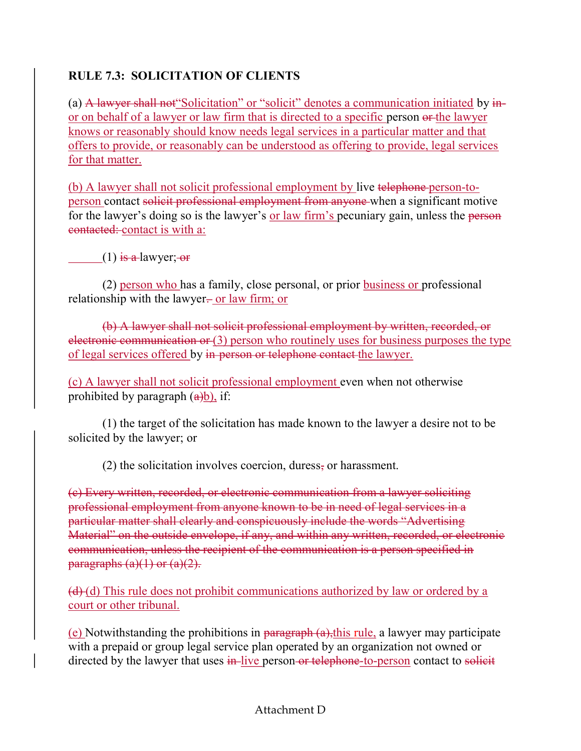# RULE 7.3: SOLICITATION OF CLIENTS

(a) A lawyer shall not"Solicitation" or "solicit" denotes a communication initiated by inor on behalf of a lawyer or law firm that is directed to a specific person or the lawyer knows or reasonably should know needs legal services in a particular matter and that offers to provide, or reasonably can be understood as offering to provide, legal services for that matter.

(b) A lawyer shall not solicit professional employment by live telephone person-toperson contact solicit professional employment from anyone when a significant motive for the lawyer's doing so is the lawyer's or law firm's pecuniary gain, unless the person contacted: contact is with a:

 $(1)$  is a lawyer; or

(2) person who has a family, close personal, or prior **business or professional** relationship with the lawyer- or law firm; or

(b) A lawyer shall not solicit professional employment by written, recorded, or electronic communication or (3) person who routinely uses for business purposes the type of legal services offered by in person or telephone contact the lawyer.

(c) A lawyer shall not solicit professional employment even when not otherwise prohibited by paragraph  $(a)b$ , if:

(1) the target of the solicitation has made known to the lawyer a desire not to be solicited by the lawyer; or

(2) the solicitation involves coercion, duress, or harassment.

(c) Every written, recorded, or electronic communication from a lawyer soliciting professional employment from anyone known to be in need of legal services in a particular matter shall clearly and conspicuously include the words "Advertising Material" on the outside envelope, if any, and within any written, recorded, or electronic communication, unless the recipient of the communication is a person specified in paragraphs  $(a)(1)$  or  $(a)(2)$ .

(d) (d) This rule does not prohibit communications authorized by law or ordered by a court or other tribunal.

(e) Notwithstanding the prohibitions in paragraph (a),this rule, a lawyer may participate with a prepaid or group legal service plan operated by an organization not owned or directed by the lawyer that uses in-live person-or telephone-to-person contact to solicit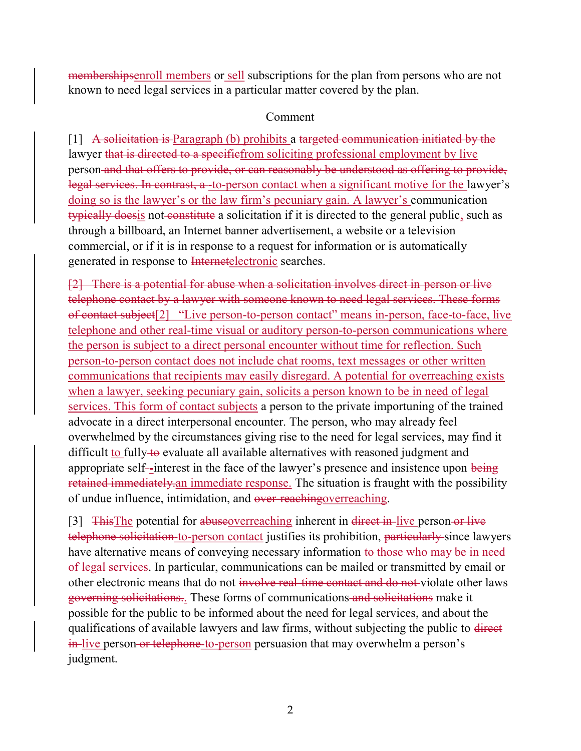membershipsenroll members or sell subscriptions for the plan from persons who are not known to need legal services in a particular matter covered by the plan.

## Comment

[1] A solicitation is Paragraph (b) prohibits a targeted communication initiated by the lawyer that is directed to a specific from soliciting professional employment by live person and that offers to provide, or can reasonably be understood as offering to provide, legal services. In contrast, a -to-person contact when a significant motive for the lawyer's doing so is the lawyer's or the law firm's pecuniary gain. A lawyer's communication typically doesis not constitute a solicitation if it is directed to the general public, such as through a billboard, an Internet banner advertisement, a website or a television commercial, or if it is in response to a request for information or is automatically generated in response to Internetelectronic searches.

[2] There is a potential for abuse when a solicitation involves direct in person or live telephone contact by a lawyer with someone known to need legal services. These forms of contact subject[2] "Live person-to-person contact" means in-person, face-to-face, live telephone and other real-time visual or auditory person-to-person communications where the person is subject to a direct personal encounter without time for reflection. Such person-to-person contact does not include chat rooms, text messages or other written communications that recipients may easily disregard. A potential for overreaching exists when a lawyer, seeking pecuniary gain, solicits a person known to be in need of legal services. This form of contact subjects a person to the private importuning of the trained advocate in a direct interpersonal encounter. The person, who may already feel overwhelmed by the circumstances giving rise to the need for legal services, may find it difficult to fully to evaluate all available alternatives with reasoned judgment and appropriate self--interest in the face of the lawyer's presence and insistence upon being retained immediately an immediate response. The situation is fraught with the possibility of undue influence, intimidation, and over-reachingoverreaching.

[3] This The potential for abuseoverreaching inherent in direct in-live person-or live telephone solicitation-to-person contact justifies its prohibition, particularly since lawyers have alternative means of conveying necessary information to those who may be in need of legal services. In particular, communications can be mailed or transmitted by email or other electronic means that do not involve real time contact and do not violate other laws governing solicitations.. These forms of communications and solicitations make it possible for the public to be informed about the need for legal services, and about the qualifications of available lawyers and law firms, without subjecting the public to direct in-live person-or telephone-to-person persuasion that may overwhelm a person's judgment.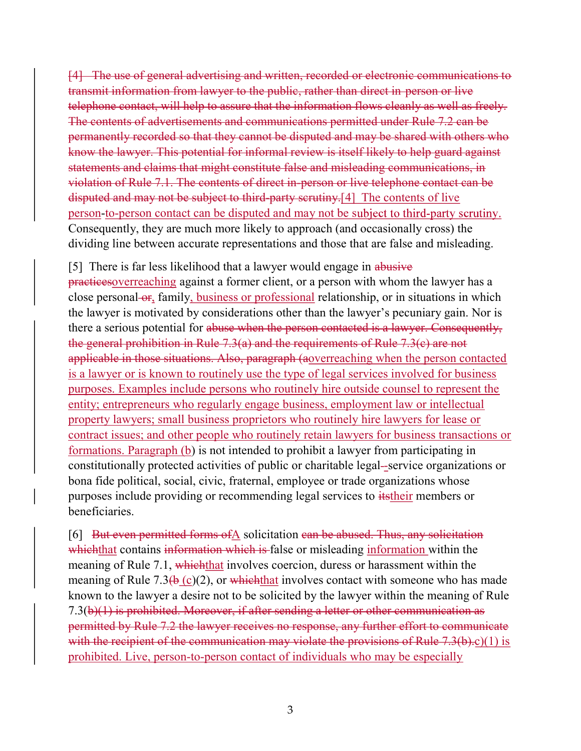[4] The use of general advertising and written, recorded or electronic communications to transmit information from lawyer to the public, rather than direct in person or live telephone contact, will help to assure that the information flows cleanly as well as freely. The contents of advertisements and communications permitted under Rule 7.2 can be permanently recorded so that they cannot be disputed and may be shared with others who know the lawyer. This potential for informal review is itself likely to help guard against statements and claims that might constitute false and misleading communications, in violation of Rule 7.1. The contents of direct in-person or live telephone contact can be disputed and may not be subject to third-party scrutiny.[4] The contents of live person-to-person contact can be disputed and may not be subject to third-party scrutiny. Consequently, they are much more likely to approach (and occasionally cross) the dividing line between accurate representations and those that are false and misleading.

[5] There is far less likelihood that a lawyer would engage in abusive practicesoverreaching against a former client, or a person with whom the lawyer has a close personal or, family, business or professional relationship, or in situations in which the lawyer is motivated by considerations other than the lawyer's pecuniary gain. Nor is there a serious potential for abuse when the person contacted is a lawyer. Consequently, the general prohibition in Rule 7.3(a) and the requirements of Rule 7.3(c) are not applicable in those situations. Also, paragraph (aoverreaching when the person contacted is a lawyer or is known to routinely use the type of legal services involved for business purposes. Examples include persons who routinely hire outside counsel to represent the entity; entrepreneurs who regularly engage business, employment law or intellectual property lawyers; small business proprietors who routinely hire lawyers for lease or contract issues; and other people who routinely retain lawyers for business transactions or formations. Paragraph (b) is not intended to prohibit a lawyer from participating in constitutionally protected activities of public or charitable legal-service organizations or bona fide political, social, civic, fraternal, employee or trade organizations whose purposes include providing or recommending legal services to itstheir members or beneficiaries.

[6] But even permitted forms of A solicitation can be abused. Thus, any solicitation whichthat contains information which is false or misleading information within the meaning of Rule 7.1, which that involves coercion, duress or harassment within the meaning of Rule 7.3( $\frac{1}{2}$  (c)(2), or which that involves contact with someone who has made known to the lawyer a desire not to be solicited by the lawyer within the meaning of Rule  $7.3(b)(1)$  is prohibited. Moreover, if after sending a letter or other communication as permitted by Rule 7.2 the lawyer receives no response, any further effort to communicate with the recipient of the communication may violate the provisions of Rule  $7.3(b)c(1)$  is prohibited. Live, person-to-person contact of individuals who may be especially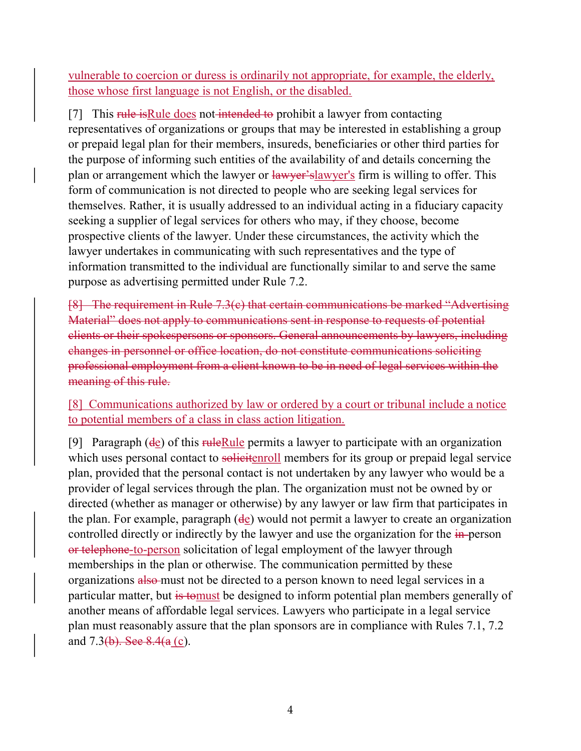vulnerable to coercion or duress is ordinarily not appropriate, for example, the elderly, those whose first language is not English, or the disabled.

[7] This rule is Rule does not intended to prohibit a lawyer from contacting representatives of organizations or groups that may be interested in establishing a group or prepaid legal plan for their members, insureds, beneficiaries or other third parties for the purpose of informing such entities of the availability of and details concerning the plan or arrangement which the lawyer or lawyer's lawyer's firm is willing to offer. This form of communication is not directed to people who are seeking legal services for themselves. Rather, it is usually addressed to an individual acting in a fiduciary capacity seeking a supplier of legal services for others who may, if they choose, become prospective clients of the lawyer. Under these circumstances, the activity which the lawyer undertakes in communicating with such representatives and the type of information transmitted to the individual are functionally similar to and serve the same purpose as advertising permitted under Rule 7.2.

[8] The requirement in Rule 7.3(c) that certain communications be marked "Advertising Material" does not apply to communications sent in response to requests of potential clients or their spokespersons or sponsors. General announcements by lawyers, including changes in personnel or office location, do not constitute communications soliciting professional employment from a client known to be in need of legal services within the meaning of this rule.

[8] Communications authorized by law or ordered by a court or tribunal include a notice to potential members of a class in class action litigation.

[9] Paragraph  $(d_e)$  of this rule Rule permits a lawyer to participate with an organization which uses personal contact to solicitenroll members for its group or prepaid legal service plan, provided that the personal contact is not undertaken by any lawyer who would be a provider of legal services through the plan. The organization must not be owned by or directed (whether as manager or otherwise) by any lawyer or law firm that participates in the plan. For example, paragraph  $(d_e)$  would not permit a lawyer to create an organization controlled directly or indirectly by the lawyer and use the organization for the  $\frac{1}{n}$ -person or telephone-to-person solicitation of legal employment of the lawyer through memberships in the plan or otherwise. The communication permitted by these organizations also must not be directed to a person known to need legal services in a particular matter, but is to must be designed to inform potential plan members generally of another means of affordable legal services. Lawyers who participate in a legal service plan must reasonably assure that the plan sponsors are in compliance with Rules 7.1, 7.2 and  $7.3(b)$ . See  $8.4(a(c))$ .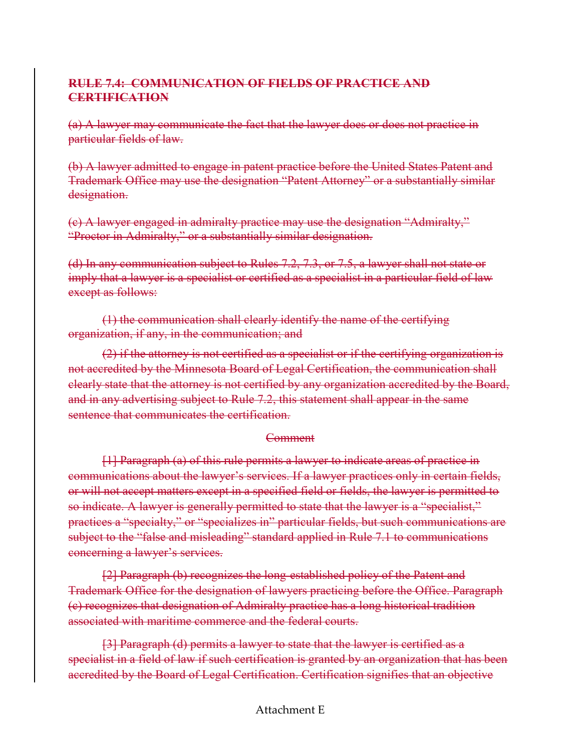# RULE 7.4: COMMUNICATION OF FIELDS OF PRACTICE AND **CERTIFICATION**

(a) A lawyer may communicate the fact that the lawyer does or does not practice in particular fields of law.

(b) A lawyer admitted to engage in patent practice before the United States Patent and Trademark Office may use the designation "Patent Attorney" or a substantially similar designation.

(c) A lawyer engaged in admiralty practice may use the designation "Admiralty," "Proctor in Admiralty," or a substantially similar designation.

(d) In any communication subject to Rules 7.2, 7.3, or 7.5, a lawyer shall not state or imply that a lawyer is a specialist or certified as a specialist in a particular field of law except as follows:

(1) the communication shall clearly identify the name of the certifying organization, if any, in the communication; and

(2) if the attorney is not certified as a specialist or if the certifying organization is not accredited by the Minnesota Board of Legal Certification, the communication shall clearly state that the attorney is not certified by any organization accredited by the Board, and in any advertising subject to Rule 7.2, this statement shall appear in the same sentence that communicates the certification.

#### Comment

[1] Paragraph (a) of this rule permits a lawyer to indicate areas of practice in communications about the lawyer's services. If a lawyer practices only in certain fields, or will not accept matters except in a specified field or fields, the lawyer is permitted to so indicate. A lawyer is generally permitted to state that the lawyer is a "specialist," practices a "specialty," or "specializes in" particular fields, but such communications are subject to the "false and misleading" standard applied in Rule 7.1 to communications concerning a lawyer's services.

[2] Paragraph (b) recognizes the long established policy of the Patent and Trademark Office for the designation of lawyers practicing before the Office. Paragraph (c) recognizes that designation of Admiralty practice has a long historical tradition associated with maritime commerce and the federal courts.

[3] Paragraph (d) permits a lawyer to state that the lawyer is certified as a specialist in a field of law if such certification is granted by an organization that has been accredited by the Board of Legal Certification. Certification signifies that an objective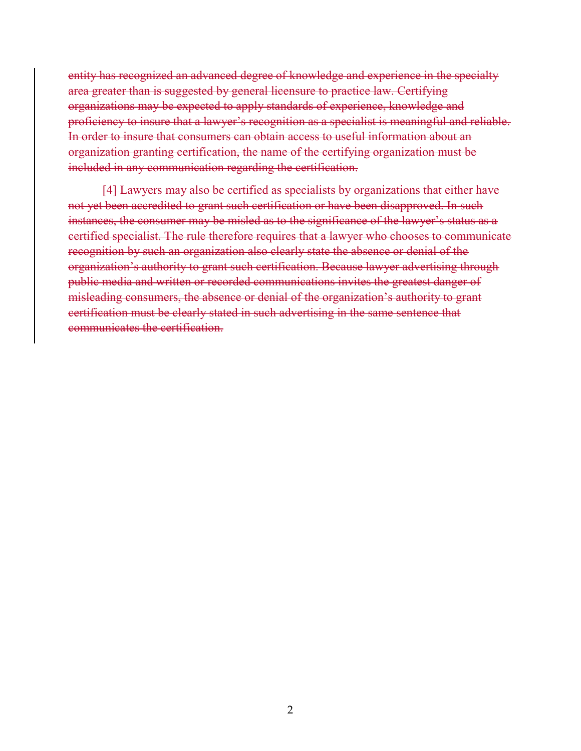entity has recognized an advanced degree of knowledge and experience in the specialty area greater than is suggested by general licensure to practice law. Certifying organizations may be expected to apply standards of experience, knowledge and proficiency to insure that a lawyer's recognition as a specialist is meaningful and reliable. In order to insure that consumers can obtain access to useful information about an organization granting certification, the name of the certifying organization must be included in any communication regarding the certification.

[4] Lawyers may also be certified as specialists by organizations that either have not yet been accredited to grant such certification or have been disapproved. In such instances, the consumer may be misled as to the significance of the lawyer's status as a certified specialist. The rule therefore requires that a lawyer who chooses to communicate recognition by such an organization also clearly state the absence or denial of the organization's authority to grant such certification. Because lawyer advertising through public media and written or recorded communications invites the greatest danger of misleading consumers, the absence or denial of the organization's authority to grant certification must be clearly stated in such advertising in the same sentence that communicates the certification.